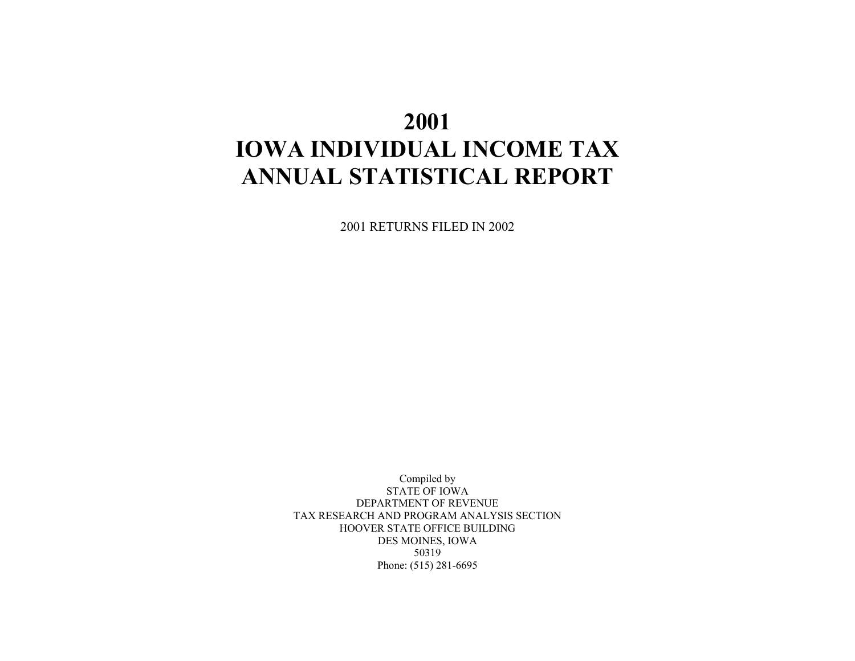# **2001 IOWA INDIVIDUAL INCOME TAX ANNUAL STATISTICAL REPORT**

2001 RETURNS FILED IN 2002

Compiled by STATE OF IOWA DEPARTMENT OF REVENUE TAX RESEARCH AND PROGRAM ANALYSIS SECTION HOOVER STATE OFFICE BUILDING DES MOINES, IOWA 50319 Phone: (515) 281-6695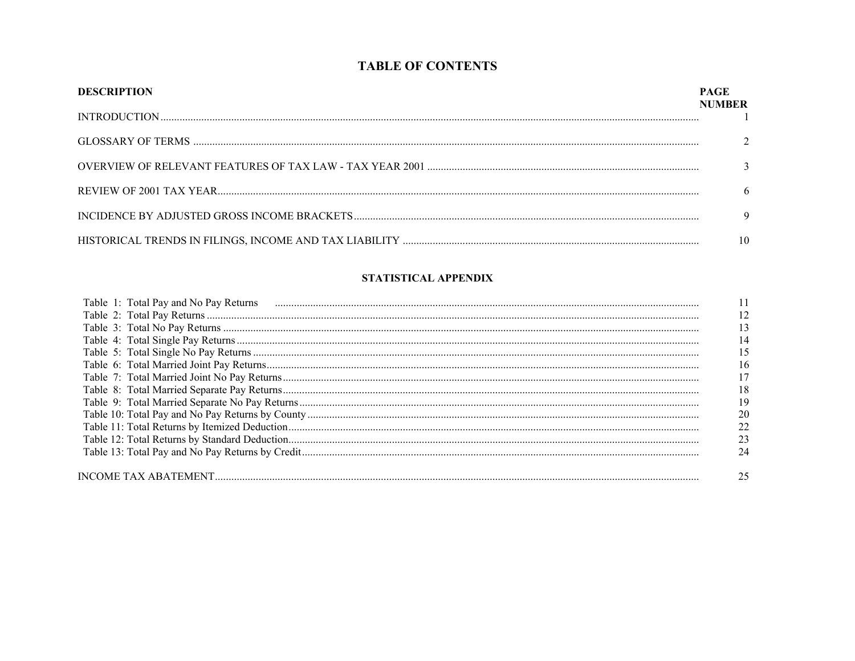## **TABLE OF CONTENTS**

| <b>DESCRIPTION</b> | PAGE<br><b>NUMBER</b> |
|--------------------|-----------------------|
|                    |                       |
|                    |                       |
|                    |                       |
|                    | 6                     |
|                    |                       |
|                    | 10                    |

#### STATISTICAL APPENDIX

| Table 1: Total Pay and No Pay Returns |    |
|---------------------------------------|----|
|                                       |    |
|                                       |    |
|                                       | 14 |
|                                       | 15 |
|                                       | 16 |
|                                       |    |
|                                       | 18 |
|                                       | 19 |
|                                       |    |
|                                       |    |
|                                       |    |
|                                       |    |
|                                       |    |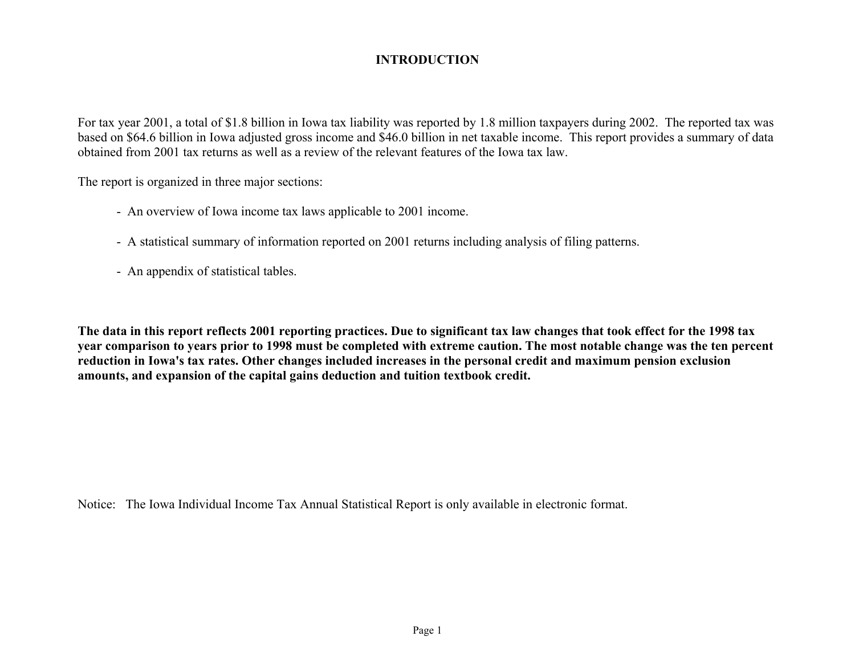# **INTRODUCTION**

For tax year 2001, a total of \$1.8 billion in Iowa tax liability was reported by 1.8 million taxpayers during 2002. The reported tax was based on \$64.6 billion in Iowa adjusted gross income and \$46.0 billion in net taxable income. This report provides a summary of data obtained from 2001 tax returns as well as a review of the relevant features of the Iowa tax law.

The report is organized in three major sections:

- An overview of Iowa income tax laws applicable to 2001 income.
- A statistical summary of information reported on 2001 returns including analysis of filing patterns.
- An appendix of statistical tables.

**The data in this report reflects 2001 reporting practices. Due to significant tax law changes that took effect for the 1998 tax year comparison to years prior to 1998 must be completed with extreme caution. The most notable change was the ten percent reduction in Iowa's tax rates. Other changes included increases in the personal credit and maximum pension exclusion amounts, and expansion of the capital gains deduction and tuition textbook credit.** 

Notice: The Iowa Individual Income Tax Annual Statistical Report is only available in electronic format.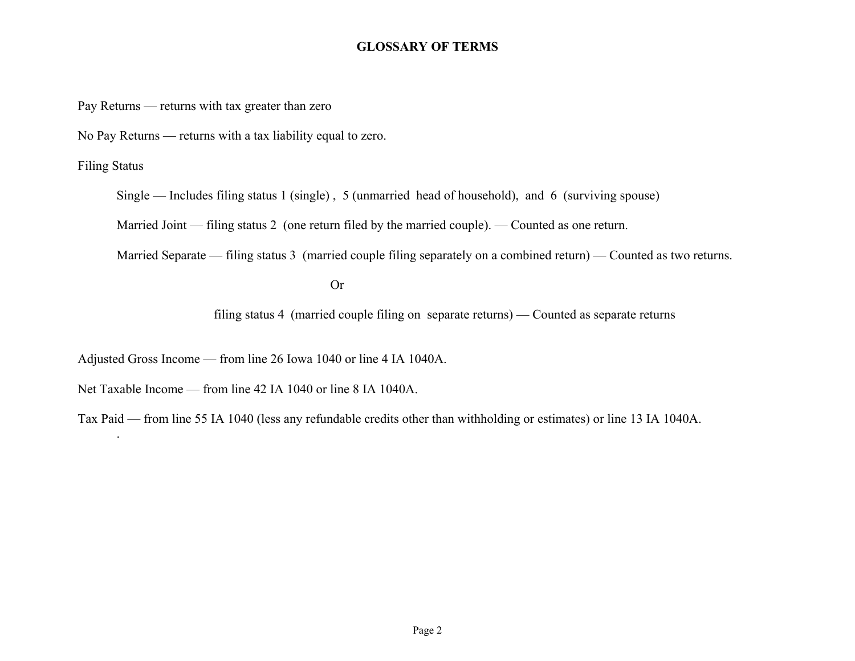#### **GLOSSARY OF TERMS**

Pay Returns — returns with tax greater than zero

No Pay Returns — returns with a tax liability equal to zero.

Filing Status

.

Single — Includes filing status 1 (single) , 5 (unmarried head of household), and 6 (surviving spouse)

Married Joint — filing status 2 (one return filed by the married couple). — Counted as one return.

Married Separate — filing status 3 (married couple filing separately on a combined return) — Counted as two returns.

 Or **Or** 

filing status 4 (married couple filing on separate returns) — Counted as separate returns

Adjusted Gross Income — from line 26 Iowa 1040 or line 4 IA 1040A.

Net Taxable Income — from line 42 IA 1040 or line 8 IA 1040A.

Tax Paid — from line 55 IA 1040 (less any refundable credits other than withholding or estimates) or line 13 IA 1040A.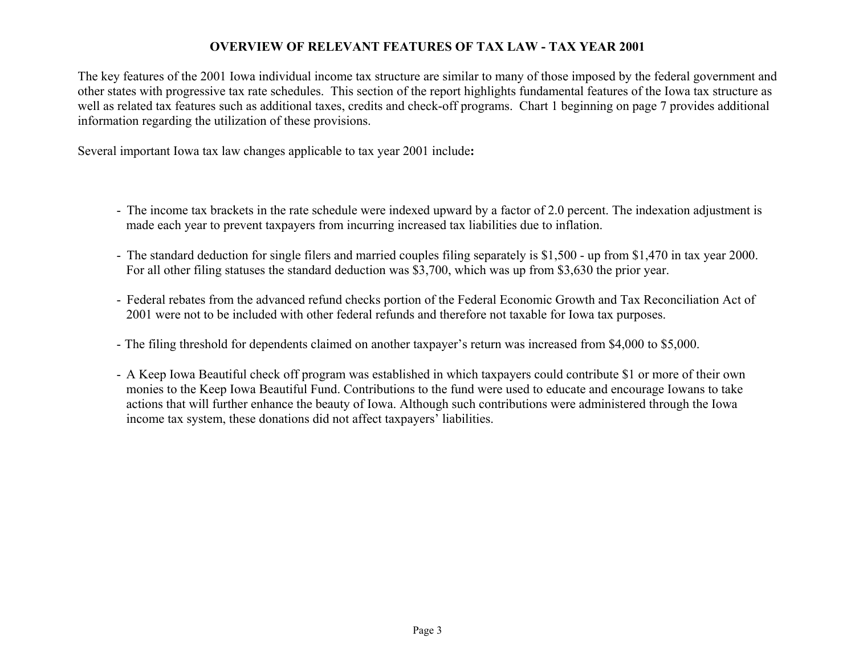#### **OVERVIEW OF RELEVANT FEATURES OF TAX LAW - TAX YEAR 2001**

The key features of the 2001 Iowa individual income tax structure are similar to many of those imposed by the federal government and other states with progressive tax rate schedules. This section of the report highlights fundamental features of the Iowa tax structure as well as related tax features such as additional taxes, credits and check-off programs. Chart 1 beginning on page 7 provides additional information regarding the utilization of these provisions.

Several important Iowa tax law changes applicable to tax year 2001 include**:** 

- The income tax brackets in the rate schedule were indexed upward by a factor of 2.0 percent. The indexation adjustment is made each year to prevent taxpayers from incurring increased tax liabilities due to inflation.
- The standard deduction for single filers and married couples filing separately is \$1,500 up from \$1,470 in tax year 2000. For all other filing statuses the standard deduction was \$3,700, which was up from \$3,630 the prior year.
- Federal rebates from the advanced refund checks portion of the Federal Economic Growth and Tax Reconciliation Act of 2001 were not to be included with other federal refunds and therefore not taxable for Iowa tax purposes.
- The filing threshold for dependents claimed on another taxpayer's return was increased from \$4,000 to \$5,000.
- A Keep Iowa Beautiful check off program was established in which taxpayers could contribute \$1 or more of their own monies to the Keep Iowa Beautiful Fund. Contributions to the fund were used to educate and encourage Iowans to take actions that will further enhance the beauty of Iowa. Although such contributions were administered through the Iowa income tax system, these donations did not affect taxpayers' liabilities.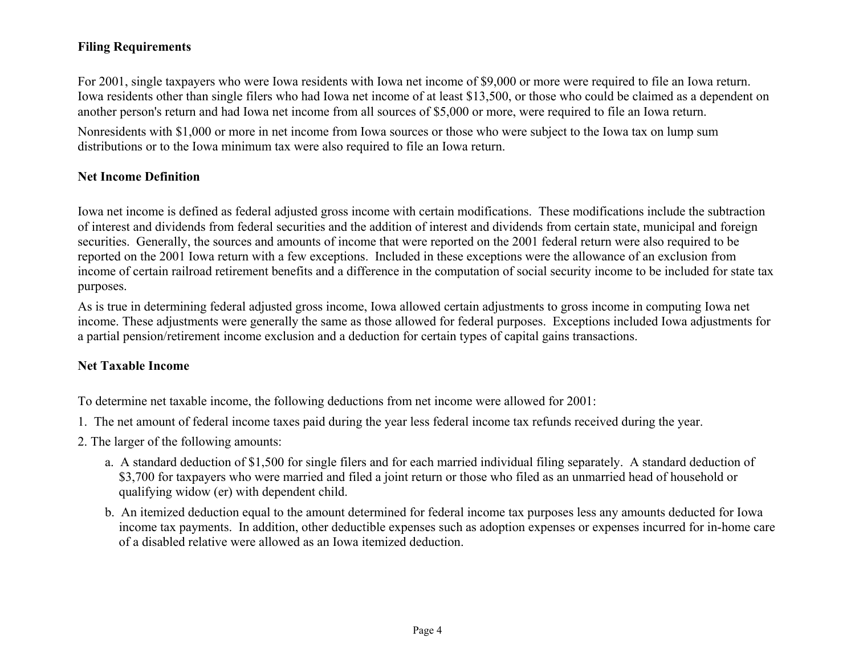# **Filing Requirements**

For 2001, single taxpayers who were Iowa residents with Iowa net income of \$9,000 or more were required to file an Iowa return. Iowa residents other than single filers who had Iowa net income of at least \$13,500, or those who could be claimed as a dependent on another person's return and had Iowa net income from all sources of \$5,000 or more, were required to file an Iowa return.

Nonresidents with \$1,000 or more in net income from Iowa sources or those who were subject to the Iowa tax on lump sum distributions or to the Iowa minimum tax were also required to file an Iowa return.

#### **Net Income Definition**

Iowa net income is defined as federal adjusted gross income with certain modifications. These modifications include the subtraction of interest and dividends from federal securities and the addition of interest and dividends from certain state, municipal and foreign securities. Generally, the sources and amounts of income that were reported on the 2001 federal return were also required to be reported on the 2001 Iowa return with a few exceptions. Included in these exceptions were the allowance of an exclusion from income of certain railroad retirement benefits and a difference in the computation of social security income to be included for state tax purposes.

As is true in determining federal adjusted gross income, Iowa allowed certain adjustments to gross income in computing Iowa net income. These adjustments were generally the same as those allowed for federal purposes. Exceptions included Iowa adjustments for a partial pension/retirement income exclusion and a deduction for certain types of capital gains transactions.

#### **Net Taxable Income**

To determine net taxable income, the following deductions from net income were allowed for 2001:

- 1. The net amount of federal income taxes paid during the year less federal income tax refunds received during the year.
- 2. The larger of the following amounts:
	- a. A standard deduction of \$1,500 for single filers and for each married individual filing separately. A standard deduction of \$3,700 for taxpayers who were married and filed a joint return or those who filed as an unmarried head of household or qualifying widow (er) with dependent child.
	- b. An itemized deduction equal to the amount determined for federal income tax purposes less any amounts deducted for Iowa income tax payments. In addition, other deductible expenses such as adoption expenses or expenses incurred for in-home care of a disabled relative were allowed as an Iowa itemized deduction.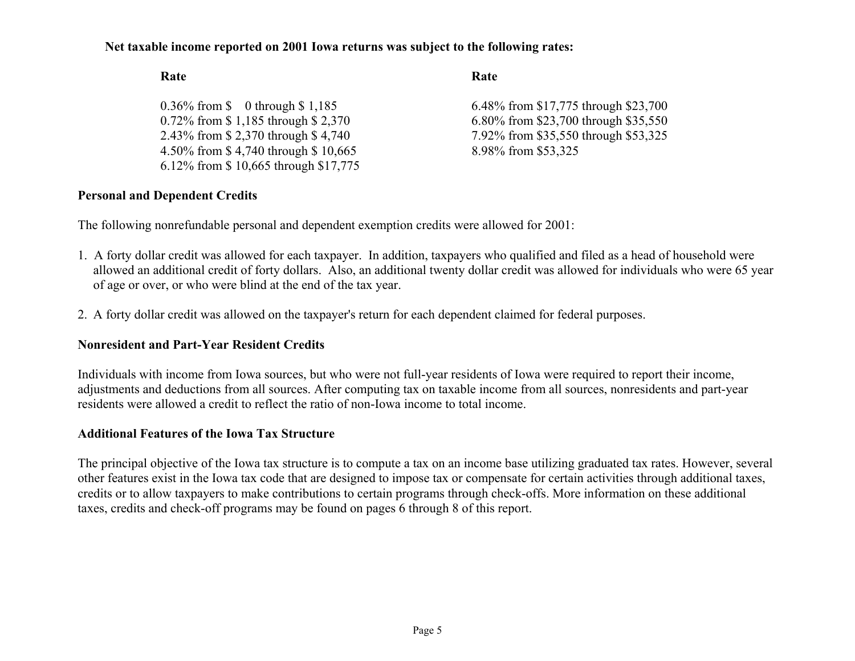#### **Net taxable income reported on 2001 Iowa returns was subject to the following rates:**

#### **Rate Rate**

| 0.36% from $\$\ 0$ through $\$\ 1,185$ | 6.48% from \$17,775 through \$23,700 |
|----------------------------------------|--------------------------------------|
| 0.72% from \$1,185 through \$2,370     | 6.80% from \$23,700 through \$35,550 |
| 2.43% from \$2,370 through \$4,740     | 7.92% from \$35,550 through \$53,325 |
| 4.50% from \$4,740 through \$10,665    | 8.98% from \$53,325                  |
| 6.12% from \$10,665 through \$17,775   |                                      |

#### **Personal and Dependent Credits**

The following nonrefundable personal and dependent exemption credits were allowed for 2001:

- 1. A forty dollar credit was allowed for each taxpayer. In addition, taxpayers who qualified and filed as a head of household were allowed an additional credit of forty dollars. Also, an additional twenty dollar credit was allowed for individuals who were 65 year of age or over, or who were blind at the end of the tax year.
- 2. A forty dollar credit was allowed on the taxpayer's return for each dependent claimed for federal purposes.

#### **Nonresident and Part-Year Resident Credits**

Individuals with income from Iowa sources, but who were not full-year residents of Iowa were required to report their income, adjustments and deductions from all sources. After computing tax on taxable income from all sources, nonresidents and part-year residents were allowed a credit to reflect the ratio of non-Iowa income to total income.

#### **Additional Features of the Iowa Tax Structure**

The principal objective of the Iowa tax structure is to compute a tax on an income base utilizing graduated tax rates. However, several other features exist in the Iowa tax code that are designed to impose tax or compensate for certain activities through additional taxes, credits or to allow taxpayers to make contributions to certain programs through check-offs. More information on these additional taxes, credits and check-off programs may be found on pages 6 through 8 of this report.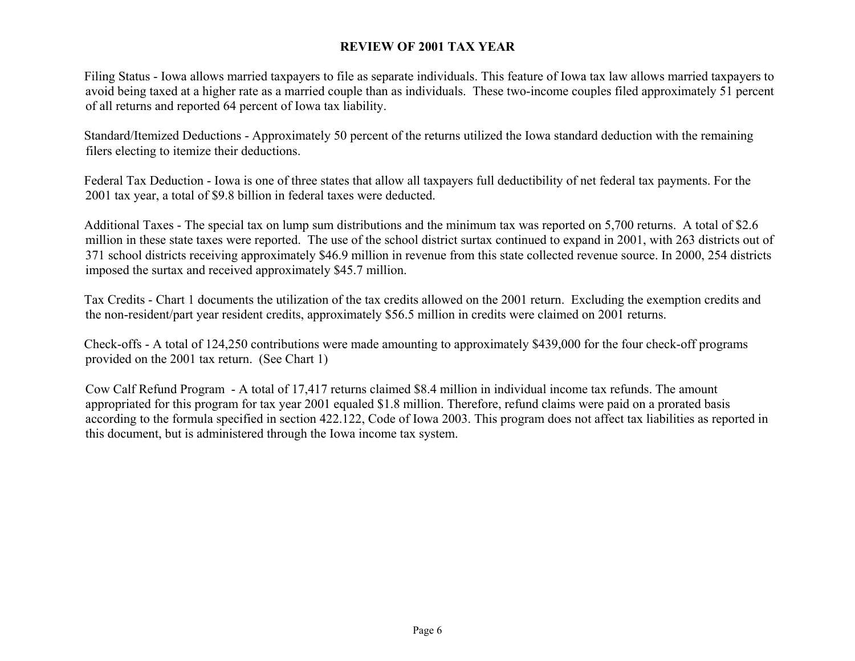#### **REVIEW OF 2001 TAX YEAR**

 Filing Status - Iowa allows married taxpayers to file as separate individuals. This feature of Iowa tax law allows married taxpayers to avoid being taxed at a higher rate as a married couple than as individuals. These two-income couples filed approximately 51 percent of all returns and reported 64 percent of Iowa tax liability.

 Standard/Itemized Deductions - Approximately 50 percent of the returns utilized the Iowa standard deduction with the remaining filers electing to itemize their deductions.

 Federal Tax Deduction - Iowa is one of three states that allow all taxpayers full deductibility of net federal tax payments. For the 2001 tax year, a total of \$9.8 billion in federal taxes were deducted.

 Additional Taxes - The special tax on lump sum distributions and the minimum tax was reported on 5,700 returns. A total of \$2.6 million in these state taxes were reported. The use of the school district surtax continued to expand in 2001, with 263 districts out of 371 school districts receiving approximately \$46.9 million in revenue from this state collected revenue source. In 2000, 254 districts imposed the surtax and received approximately \$45.7 million.

Tax Credits - Chart 1 documents the utilization of the tax credits allowed on the 2001 return. Excluding the exemption credits and the non-resident/part year resident credits, approximately \$56.5 million in credits were claimed on 2001 returns.

 Check-offs - A total of 124,250 contributions were made amounting to approximately \$439,000 for the four check-off programs provided on the 2001 tax return. (See Chart 1)

 Cow Calf Refund Program - A total of 17,417 returns claimed \$8.4 million in individual income tax refunds. The amount appropriated for this program for tax year 2001 equaled \$1.8 million. Therefore, refund claims were paid on a prorated basis according to the formula specified in section 422.122, Code of Iowa 2003. This program does not affect tax liabilities as reported in this document, but is administered through the Iowa income tax system.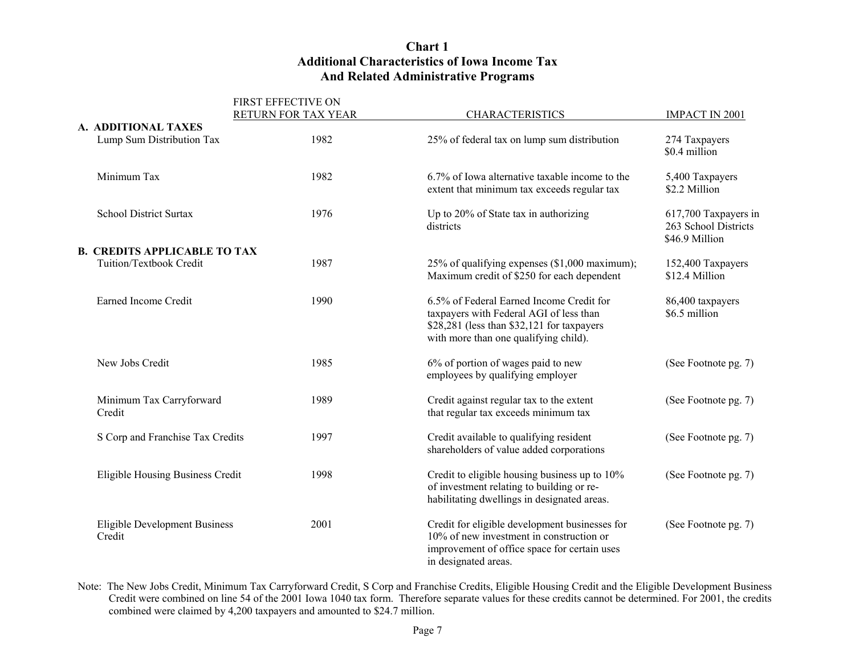#### **Chart 1 Additional Characteristics of Iowa Income Tax And Related Administrative Programs**

|                                         | FIRST EFFECTIVE ON  |                                                                                                                                                                            |                                                                |
|-----------------------------------------|---------------------|----------------------------------------------------------------------------------------------------------------------------------------------------------------------------|----------------------------------------------------------------|
|                                         | RETURN FOR TAX YEAR | <b>CHARACTERISTICS</b>                                                                                                                                                     | IMPACT IN 2001                                                 |
| A. ADDITIONAL TAXES                     |                     |                                                                                                                                                                            |                                                                |
| Lump Sum Distribution Tax               | 1982                | 25% of federal tax on lump sum distribution                                                                                                                                | 274 Taxpayers<br>\$0.4 million                                 |
| Minimum Tax                             | 1982                | 6.7% of Iowa alternative taxable income to the<br>extent that minimum tax exceeds regular tax                                                                              | 5,400 Taxpayers<br>\$2.2 Million                               |
| <b>School District Surtax</b>           | 1976                | Up to 20% of State tax in authorizing<br>districts                                                                                                                         | 617,700 Taxpayers in<br>263 School Districts<br>\$46.9 Million |
| <b>B. CREDITS APPLICABLE TO TAX</b>     |                     |                                                                                                                                                                            |                                                                |
| Tuition/Textbook Credit                 | 1987                | 25% of qualifying expenses (\$1,000 maximum);<br>Maximum credit of \$250 for each dependent                                                                                | 152,400 Taxpayers<br>\$12.4 Million                            |
| Earned Income Credit                    | 1990                | 6.5% of Federal Earned Income Credit for<br>taxpayers with Federal AGI of less than<br>\$28,281 (less than \$32,121 for taxpayers<br>with more than one qualifying child). | 86,400 taxpayers<br>\$6.5 million                              |
| New Jobs Credit                         | 1985                | 6% of portion of wages paid to new<br>employees by qualifying employer                                                                                                     | (See Footnote pg. 7)                                           |
| Minimum Tax Carryforward<br>Credit      | 1989                | Credit against regular tax to the extent<br>that regular tax exceeds minimum tax                                                                                           | (See Footnote pg. 7)                                           |
| S Corp and Franchise Tax Credits        | 1997                | Credit available to qualifying resident<br>shareholders of value added corporations                                                                                        | (See Footnote pg. 7)                                           |
| Eligible Housing Business Credit        | 1998                | Credit to eligible housing business up to 10%<br>of investment relating to building or re-<br>habilitating dwellings in designated areas.                                  | (See Footnote pg. 7)                                           |
| Eligible Development Business<br>Credit | 2001                | Credit for eligible development businesses for<br>10% of new investment in construction or<br>improvement of office space for certain uses<br>in designated areas.         | (See Footnote pg. 7)                                           |

Note: The New Jobs Credit, Minimum Tax Carryforward Credit, S Corp and Franchise Credits, Eligible Housing Credit and the Eligible Development Business Credit were combined on line 54 of the 2001 Iowa 1040 tax form. Therefore separate values for these credits cannot be determined. For 2001, the credits combined were claimed by 4,200 taxpayers and amounted to \$24.7 million.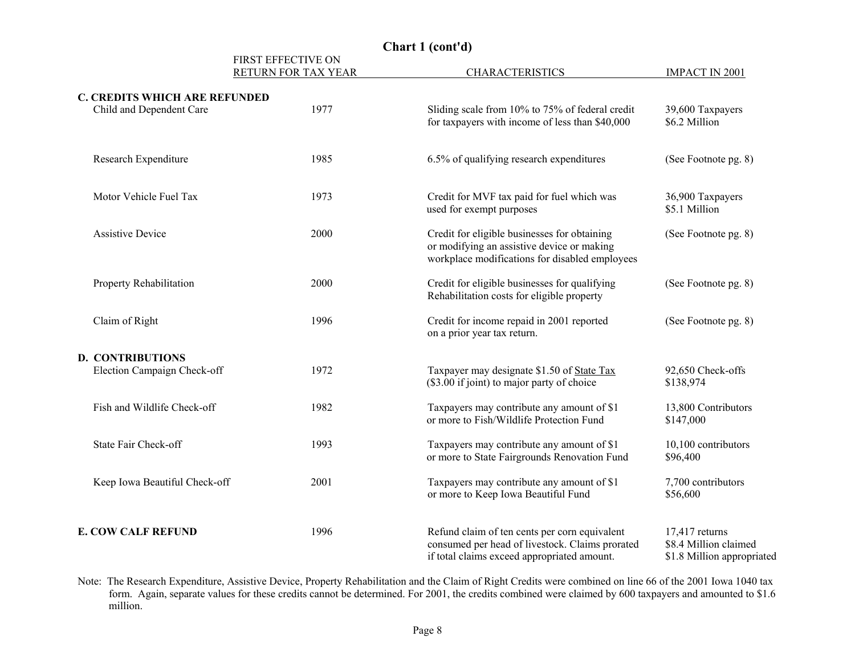|                                                                  | FIRST EFFECTIVE ON<br>RETURN FOR TAX YEAR | <b>CHARACTERISTICS</b>                                                                                                                          | <b>IMPACT IN 2001</b>                                                   |
|------------------------------------------------------------------|-------------------------------------------|-------------------------------------------------------------------------------------------------------------------------------------------------|-------------------------------------------------------------------------|
| <b>C. CREDITS WHICH ARE REFUNDED</b><br>Child and Dependent Care | 1977                                      | Sliding scale from 10% to 75% of federal credit<br>for taxpayers with income of less than \$40,000                                              | 39,600 Taxpayers<br>\$6.2 Million                                       |
| Research Expenditure                                             | 1985                                      | 6.5% of qualifying research expenditures                                                                                                        | (See Footnote pg. 8)                                                    |
| Motor Vehicle Fuel Tax                                           | 1973                                      | Credit for MVF tax paid for fuel which was<br>used for exempt purposes                                                                          | 36,900 Taxpayers<br>\$5.1 Million                                       |
| <b>Assistive Device</b>                                          | 2000                                      | Credit for eligible businesses for obtaining<br>or modifying an assistive device or making<br>workplace modifications for disabled employees    | (See Footnote pg. 8)                                                    |
| Property Rehabilitation                                          | 2000                                      | Credit for eligible businesses for qualifying<br>Rehabilitation costs for eligible property                                                     | (See Footnote pg. 8)                                                    |
| Claim of Right                                                   | 1996                                      | Credit for income repaid in 2001 reported<br>on a prior year tax return.                                                                        | (See Footnote pg. 8)                                                    |
| <b>D. CONTRIBUTIONS</b>                                          |                                           |                                                                                                                                                 |                                                                         |
| Election Campaign Check-off                                      | 1972                                      | Taxpayer may designate \$1.50 of State Tax<br>(\$3.00 if joint) to major party of choice                                                        | 92,650 Check-offs<br>\$138,974                                          |
| Fish and Wildlife Check-off                                      | 1982                                      | Taxpayers may contribute any amount of \$1<br>or more to Fish/Wildlife Protection Fund                                                          | 13,800 Contributors<br>\$147,000                                        |
| State Fair Check-off                                             | 1993                                      | Taxpayers may contribute any amount of \$1<br>or more to State Fairgrounds Renovation Fund                                                      | 10,100 contributors<br>\$96,400                                         |
| Keep Iowa Beautiful Check-off                                    | 2001                                      | Taxpayers may contribute any amount of \$1<br>or more to Keep Iowa Beautiful Fund                                                               | 7,700 contributors<br>\$56,600                                          |
| <b>E. COW CALF REFUND</b>                                        | 1996                                      | Refund claim of ten cents per corn equivalent<br>consumed per head of livestock. Claims prorated<br>if total claims exceed appropriated amount. | $17,417$ returns<br>\$8.4 Million claimed<br>\$1.8 Million appropriated |

**Chart 1 (cont'd)** 

Note: The Research Expenditure, Assistive Device, Property Rehabilitation and the Claim of Right Credits were combined on line 66 of the 2001 Iowa 1040 tax form. Again, separate values for these credits cannot be determined. For 2001, the credits combined were claimed by 600 taxpayers and amounted to \$1.6 million.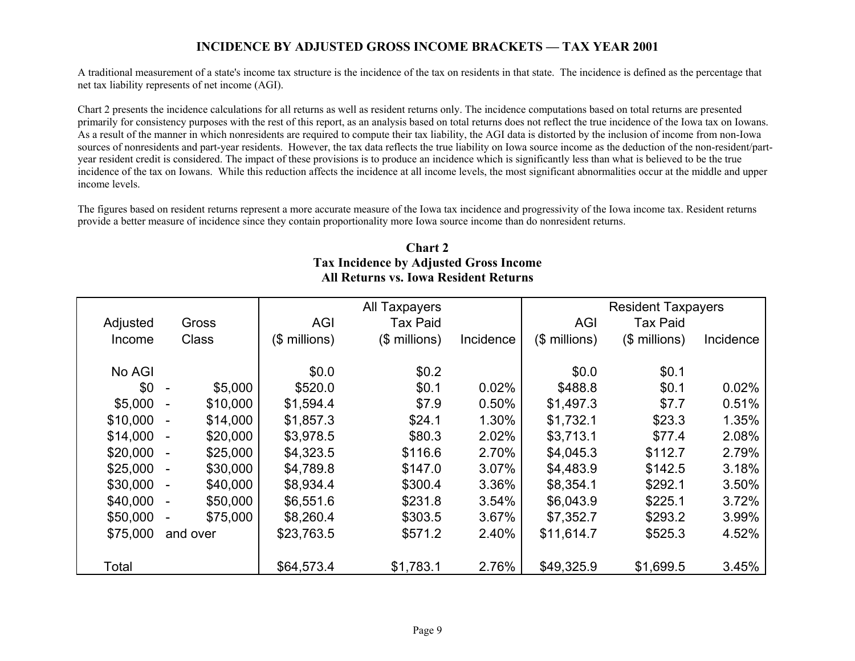#### **INCIDENCE BY ADJUSTED GROSS INCOME BRACKETS — TAX YEAR 2001**

A traditional measurement of a state's income tax structure is the incidence of the tax on residents in that state. The incidence is defined as the percentage that net tax liability represents of net income (AGI).

Chart 2 presents the incidence calculations for all returns as well as resident returns only. The incidence computations based on total returns are presented primarily for consistency purposes with the rest of this report, as an analysis based on total returns does not reflect the true incidence of the Iowa tax on Iowans. As a result of the manner in which nonresidents are required to compute their tax liability, the AGI data is distorted by the inclusion of income from non-Iowa sources of nonresidents and part-year residents. However, the tax data reflects the true liability on Iowa source income as the deduction of the non-resident/partyear resident credit is considered. The impact of these provisions is to produce an incidence which is significantly less than what is believed to be the true incidence of the tax on Iowans. While this reduction affects the incidence at all income levels, the most significant abnormalities occur at the middle and upper income levels.

The figures based on resident returns represent a more accurate measure of the Iowa tax incidence and progressivity of the Iowa income tax. Resident returns provide a better measure of incidence since they contain proportionality more Iowa source income than do nonresident returns.

#### **Chart 2 Tax Incidence by Adjusted Gross Income All Returns vs. Iowa Resident Returns**

|          |                                      |                | All Taxpayers  |           |               | <b>Resident Taxpayers</b> |           |
|----------|--------------------------------------|----------------|----------------|-----------|---------------|---------------------------|-----------|
| Adjusted | Gross                                | <b>AGI</b>     | Tax Paid       |           | <b>AGI</b>    | <b>Tax Paid</b>           |           |
| Income   | <b>Class</b>                         | $($$ millions) | $($$ millions) | Incidence | (\$ millions) | $($$ millions)            | Incidence |
|          |                                      |                |                |           |               |                           |           |
| No AGI   |                                      | \$0.0          | \$0.2          |           | \$0.0         | \$0.1                     |           |
| \$0      | \$5,000<br>$\blacksquare$            | \$520.0        | \$0.1          | 0.02%     | \$488.8       | \$0.1                     | 0.02%     |
| \$5,000  | \$10,000                             | \$1,594.4      | \$7.9          | 0.50%     | \$1,497.3     | \$7.7                     | 0.51%     |
| \$10,000 | \$14,000                             | \$1,857.3      | \$24.1         | 1.30%     | \$1,732.1     | \$23.3                    | 1.35%     |
| \$14,000 | \$20,000<br>$\overline{\phantom{a}}$ | \$3,978.5      | \$80.3         | 2.02%     | \$3,713.1     | \$77.4                    | 2.08%     |
| \$20,000 | \$25,000                             | \$4,323.5      | \$116.6        | 2.70%     | \$4,045.3     | \$112.7                   | 2.79%     |
| \$25,000 | \$30,000<br>$\blacksquare$           | \$4,789.8      | \$147.0        | 3.07%     | \$4,483.9     | \$142.5                   | 3.18%     |
| \$30,000 | \$40,000<br>$\blacksquare$           | \$8,934.4      | \$300.4        | 3.36%     | \$8,354.1     | \$292.1                   | 3.50%     |
| \$40,000 | \$50,000                             | \$6,551.6      | \$231.8        | 3.54%     | \$6,043.9     | \$225.1                   | 3.72%     |
| \$50,000 | \$75,000                             | \$8,260.4      | \$303.5        | 3.67%     | \$7,352.7     | \$293.2                   | 3.99%     |
| \$75,000 | and over                             | \$23,763.5     | \$571.2        | 2.40%     | \$11,614.7    | \$525.3                   | 4.52%     |
|          |                                      |                |                |           |               |                           |           |
| Total    |                                      | \$64,573.4     | \$1,783.1      | 2.76%     | \$49,325.9    | \$1,699.5                 | 3.45%     |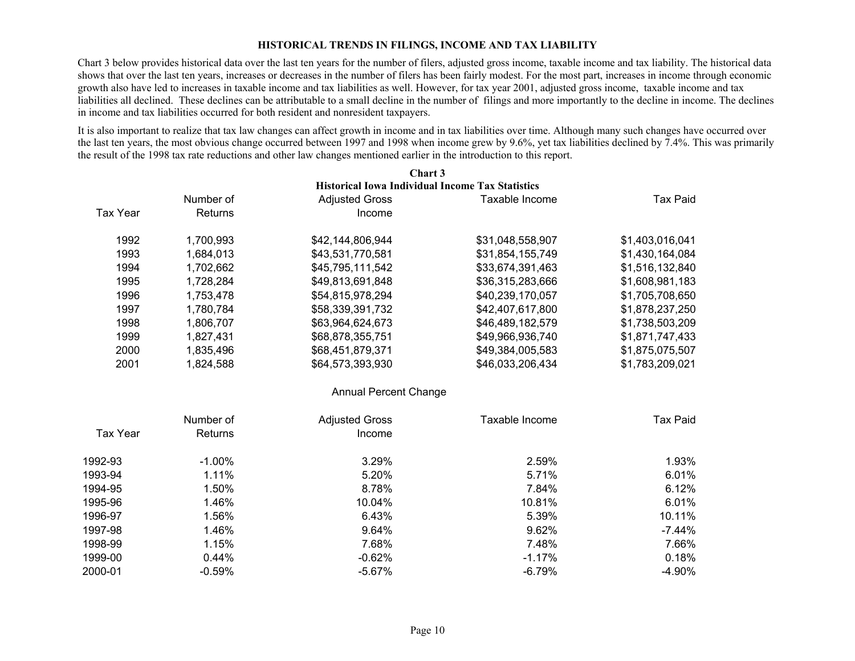#### **HISTORICAL TRENDS IN FILINGS, INCOME AND TAX LIABILITY**

Chart 3 below provides historical data over the last ten years for the number of filers, adjusted gross income, taxable income and tax liability. The historical data shows that over the last ten years, increases or decreases in the number of filers has been fairly modest. For the most part, increases in income through economic growth also have led to increases in taxable income and tax liabilities as well. However, for tax year 2001, adjusted gross income, taxable income and tax liabilities all declined. These declines can be attributable to a small decline in the number of filings and more importantly to the decline in income. The declines in income and tax liabilities occurred for both resident and nonresident taxpayers.

It is also important to realize that tax law changes can affect growth in income and in tax liabilities over time. Although many such changes have occurred over the last ten years, the most obvious change occurred between 1997 and 1998 when income grew by 9.6%, yet tax liabilities declined by 7.4%. This was primarily the result of the 1998 tax rate reductions and other law changes mentioned earlier in the introduction to this report.

|                 |           | Chart 3                                                 |                  |                 |
|-----------------|-----------|---------------------------------------------------------|------------------|-----------------|
|                 |           | <b>Historical Iowa Individual Income Tax Statistics</b> |                  |                 |
|                 | Number of | <b>Adjusted Gross</b>                                   | Taxable Income   | <b>Tax Paid</b> |
| <b>Tax Year</b> | Returns   | Income                                                  |                  |                 |
| 1992            | 1,700,993 | \$42,144,806,944                                        | \$31,048,558,907 | \$1,403,016,041 |
| 1993            | 1,684,013 | \$43,531,770,581                                        | \$31,854,155,749 | \$1,430,164,084 |
| 1994            | 1,702,662 | \$45,795,111,542                                        | \$33,674,391,463 | \$1,516,132,840 |
| 1995            | 1,728,284 | \$49,813,691,848                                        | \$36,315,283,666 | \$1,608,981,183 |
| 1996            | 1,753,478 | \$54,815,978,294                                        | \$40,239,170,057 | \$1,705,708,650 |
| 1997            | 1,780,784 | \$58,339,391,732                                        | \$42,407,617,800 | \$1,878,237,250 |
| 1998            | 1,806,707 | \$63,964,624,673                                        | \$46,489,182,579 | \$1,738,503,209 |
| 1999            | 1,827,431 | \$68,878,355,751                                        | \$49,966,936,740 | \$1,871,747,433 |
| 2000            | 1,835,496 | \$68,451,879,371                                        | \$49,384,005,583 | \$1,875,075,507 |
| 2001            | 1,824,588 | \$64,573,393,930                                        | \$46,033,206,434 | \$1,783,209,021 |
|                 |           | <b>Annual Percent Change</b>                            |                  |                 |
|                 | Number of | <b>Adjusted Gross</b>                                   | Taxable Income   | <b>Tax Paid</b> |
| <b>Tax Year</b> | Returns   | Income                                                  |                  |                 |
| 1992-93         | $-1.00%$  | 3.29%                                                   | 2.59%            | 1.93%           |
| 1993-94         | 1.11%     | 5.20%                                                   | 5.71%            | 6.01%           |
| 1994-95         | 1.50%     | 8.78%                                                   | 7.84%            | 6.12%           |
| 1995-96         | 1.46%     | 10.04%                                                  | 10.81%           | 6.01%           |
| 1996-97         | 1.56%     | 6.43%                                                   | 5.39%            | 10.11%          |
| 1997-98         | 1.46%     | 9.64%                                                   | 9.62%            | $-7.44%$        |
| 1998-99         | 1.15%     | 7.68%                                                   | 7.48%            | 7.66%           |
| 1999-00         | 0.44%     | $-0.62%$                                                | $-1.17%$         | 0.18%           |
| 2000-01         | $-0.59%$  | $-5.67%$                                                | $-6.79%$         | $-4.90%$        |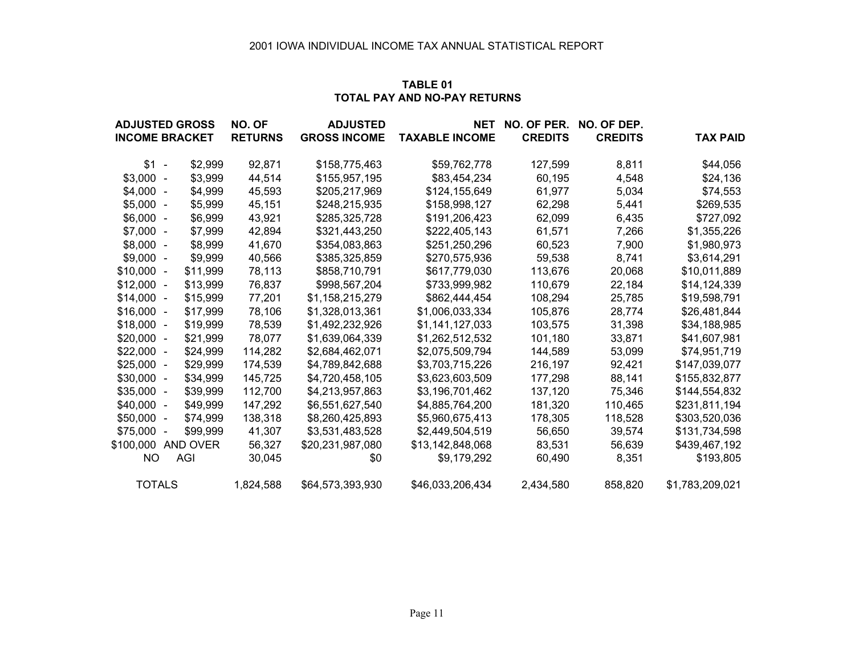#### **TABLE 01TOTAL PAY AND NO-PAY RETURNS**

| <b>ADJUSTED GROSS</b> |          | NO. OF         | <b>ADJUSTED</b>     | <b>NET</b>            | NO. OF PER.    | NO. OF DEP.    |                 |
|-----------------------|----------|----------------|---------------------|-----------------------|----------------|----------------|-----------------|
| <b>INCOME BRACKET</b> |          | <b>RETURNS</b> | <b>GROSS INCOME</b> | <b>TAXABLE INCOME</b> | <b>CREDITS</b> | <b>CREDITS</b> | <b>TAX PAID</b> |
| $$1 -$                | \$2,999  | 92,871         | \$158,775,463       | \$59,762,778          | 127,599        | 8,811          | \$44,056        |
| $$3,000 -$            | \$3,999  | 44,514         | \$155,957,195       | \$83,454,234          | 60,195         | 4,548          | \$24,136        |
| $$4,000 -$            | \$4,999  | 45,593         | \$205,217,969       | \$124,155,649         | 61,977         | 5,034          | \$74,553        |
| $$5,000 -$            | \$5,999  | 45,151         | \$248,215,935       | \$158,998,127         | 62,298         | 5,441          | \$269,535       |
| $$6,000 -$            | \$6,999  | 43,921         | \$285,325,728       | \$191,206,423         | 62,099         | 6,435          | \$727,092       |
| $$7,000 -$            | \$7,999  | 42,894         | \$321,443,250       | \$222,405,143         | 61,571         | 7,266          | \$1,355,226     |
| $$8,000 -$            | \$8,999  | 41,670         | \$354,083,863       | \$251,250,296         | 60,523         | 7,900          | \$1,980,973     |
| $$9,000 -$            | \$9,999  | 40,566         | \$385,325,859       | \$270,575,936         | 59,538         | 8,741          | \$3,614,291     |
| $$10,000 -$           | \$11,999 | 78,113         | \$858,710,791       | \$617,779,030         | 113,676        | 20,068         | \$10,011,889    |
| $$12,000 -$           | \$13,999 | 76,837         | \$998,567,204       | \$733,999,982         | 110,679        | 22,184         | \$14,124,339    |
| $$14,000 -$           | \$15,999 | 77,201         | \$1,158,215,279     | \$862,444,454         | 108,294        | 25,785         | \$19,598,791    |
| $$16,000 -$           | \$17,999 | 78,106         | \$1,328,013,361     | \$1,006,033,334       | 105,876        | 28,774         | \$26,481,844    |
| $$18,000 -$           | \$19,999 | 78,539         | \$1,492,232,926     | \$1,141,127,033       | 103,575        | 31,398         | \$34,188,985    |
| $$20,000 -$           | \$21,999 | 78,077         | \$1,639,064,339     | \$1,262,512,532       | 101,180        | 33,871         | \$41,607,981    |
| $$22,000 -$           | \$24,999 | 114,282        | \$2,684,462,071     | \$2,075,509,794       | 144,589        | 53,099         | \$74,951,719    |
| $$25,000 -$           | \$29,999 | 174,539        | \$4,789,842,688     | \$3,703,715,226       | 216,197        | 92,421         | \$147,039,077   |
| $$30,000 -$           | \$34,999 | 145,725        | \$4,720,458,105     | \$3,623,603,509       | 177,298        | 88,141         | \$155,832,877   |
| $$35,000 -$           | \$39,999 | 112,700        | \$4,213,957,863     | \$3,196,701,462       | 137,120        | 75,346         | \$144,554,832   |
| $$40,000 -$           | \$49,999 | 147,292        | \$6,551,627,540     | \$4,885,764,200       | 181,320        | 110,465        | \$231,811,194   |
| $$50,000 -$           | \$74,999 | 138,318        | \$8,260,425,893     | \$5,960,675,413       | 178,305        | 118,528        | \$303,520,036   |
| $$75,000 -$           | \$99,999 | 41,307         | \$3,531,483,528     | \$2,449,504,519       | 56,650         | 39,574         | \$131,734,598   |
| \$100,000             | AND OVER | 56,327         | \$20,231,987,080    | \$13,142,848,068      | 83,531         | 56,639         | \$439,467,192   |
| NO.                   | AGI      | 30,045         | \$0                 | \$9,179,292           | 60,490         | 8,351          | \$193,805       |
| <b>TOTALS</b>         |          | 1,824,588      | \$64,573,393,930    | \$46,033,206,434      | 2,434,580      | 858,820        | \$1,783,209,021 |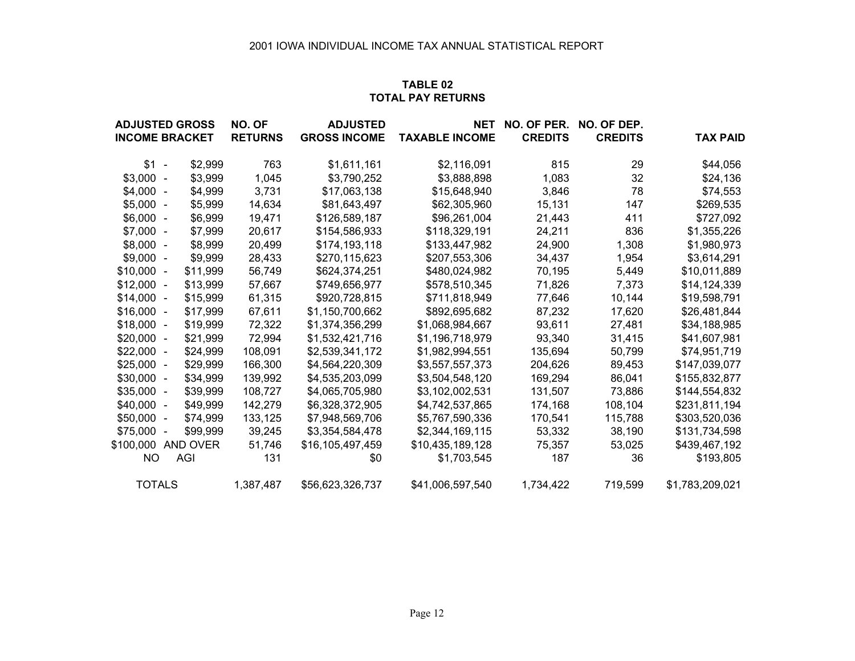#### **TABLE 02TOTAL PAY RETURNS**

| <b>ADJUSTED GROSS</b> |          | NO. OF         | <b>ADJUSTED</b>     | <b>NET</b>            | NO. OF PER.    | NO. OF DEP.    |                 |
|-----------------------|----------|----------------|---------------------|-----------------------|----------------|----------------|-----------------|
| <b>INCOME BRACKET</b> |          | <b>RETURNS</b> | <b>GROSS INCOME</b> | <b>TAXABLE INCOME</b> | <b>CREDITS</b> | <b>CREDITS</b> | <b>TAX PAID</b> |
| $$1 -$                | \$2,999  | 763            | \$1,611,161         | \$2,116,091           | 815            | 29             | \$44,056        |
| $$3,000 -$            | \$3,999  | 1,045          | \$3,790,252         | \$3,888,898           | 1,083          | 32             | \$24,136        |
| $$4,000 -$            | \$4,999  | 3,731          | \$17,063,138        | \$15,648,940          | 3,846          | 78             | \$74,553        |
| $$5,000 -$            | \$5,999  | 14,634         | \$81,643,497        | \$62,305,960          | 15,131         | 147            | \$269,535       |
| $$6,000 -$            | \$6,999  | 19,471         | \$126,589,187       | \$96,261,004          | 21,443         | 411            | \$727,092       |
| $$7,000 -$            | \$7,999  | 20,617         | \$154,586,933       | \$118,329,191         | 24,211         | 836            | \$1,355,226     |
| $$8,000 -$            | \$8,999  | 20,499         | \$174,193,118       | \$133,447,982         | 24,900         | 1,308          | \$1,980,973     |
| $$9,000 -$            | \$9,999  | 28,433         | \$270,115,623       | \$207,553,306         | 34,437         | 1,954          | \$3,614,291     |
| $$10,000 -$           | \$11,999 | 56,749         | \$624,374,251       | \$480,024,982         | 70,195         | 5,449          | \$10,011,889    |
| $$12,000 -$           | \$13,999 | 57,667         | \$749,656,977       | \$578,510,345         | 71,826         | 7,373          | \$14,124,339    |
| $$14,000 -$           | \$15,999 | 61,315         | \$920,728,815       | \$711,818,949         | 77,646         | 10,144         | \$19,598,791    |
| $$16,000 -$           | \$17,999 | 67,611         | \$1,150,700,662     | \$892,695,682         | 87,232         | 17,620         | \$26,481,844    |
| $$18,000 -$           | \$19,999 | 72,322         | \$1,374,356,299     | \$1,068,984,667       | 93,611         | 27,481         | \$34,188,985    |
| $$20,000 -$           | \$21,999 | 72,994         | \$1,532,421,716     | \$1,196,718,979       | 93,340         | 31,415         | \$41,607,981    |
| $$22,000 -$           | \$24,999 | 108,091        | \$2,539,341,172     | \$1,982,994,551       | 135,694        | 50,799         | \$74,951,719    |
| $$25,000 -$           | \$29,999 | 166,300        | \$4,564,220,309     | \$3,557,557,373       | 204,626        | 89,453         | \$147,039,077   |
| $$30,000 -$           | \$34,999 | 139,992        | \$4,535,203,099     | \$3,504,548,120       | 169,294        | 86,041         | \$155,832,877   |
| $$35,000 -$           | \$39,999 | 108,727        | \$4,065,705,980     | \$3,102,002,531       | 131,507        | 73,886         | \$144,554,832   |
| $$40,000 -$           | \$49,999 | 142,279        | \$6,328,372,905     | \$4,742,537,865       | 174,168        | 108,104        | \$231,811,194   |
| $$50,000 -$           | \$74,999 | 133,125        | \$7,948,569,706     | \$5,767,590,336       | 170,541        | 115,788        | \$303,520,036   |
| $$75,000 -$           | \$99,999 | 39,245         | \$3,354,584,478     | \$2,344,169,115       | 53,332         | 38,190         | \$131,734,598   |
| \$100,000 AND OVER    |          | 51,746         | \$16,105,497,459    | \$10,435,189,128      | 75,357         | 53,025         | \$439,467,192   |
| NO.                   | AGI      | 131            | \$0                 | \$1,703,545           | 187            | 36             | \$193,805       |
| <b>TOTALS</b>         |          | 1,387,487      | \$56,623,326,737    | \$41,006,597,540      | 1,734,422      | 719,599        | \$1,783,209,021 |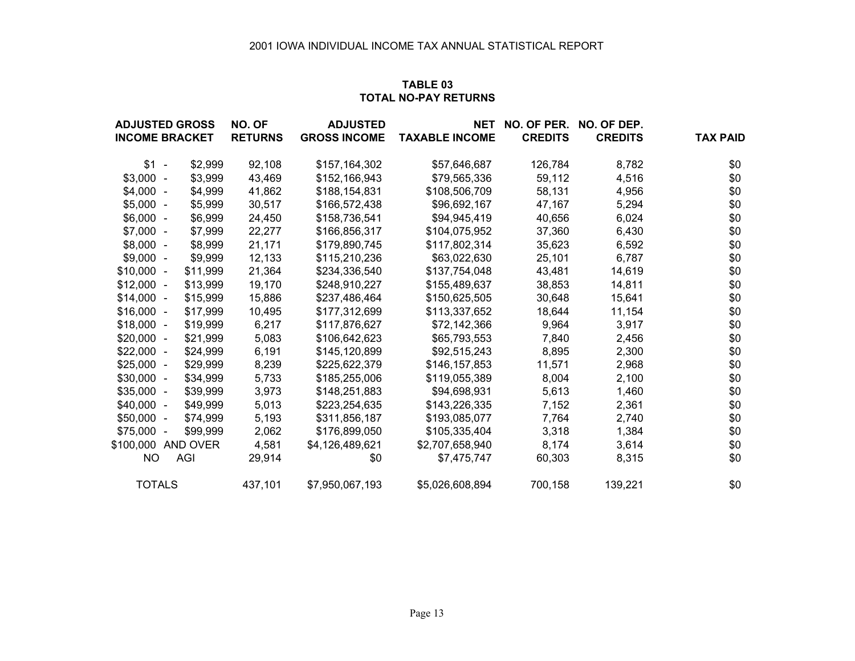#### **TABLE 03TOTAL NO-PAY RETURNS**

| <b>ADJUSTED GROSS</b> |          | NO. OF         | <b>ADJUSTED</b>     | <b>NET</b>            | NO. OF PER.    | NO. OF DEP.    |                 |
|-----------------------|----------|----------------|---------------------|-----------------------|----------------|----------------|-----------------|
| <b>INCOME BRACKET</b> |          | <b>RETURNS</b> | <b>GROSS INCOME</b> | <b>TAXABLE INCOME</b> | <b>CREDITS</b> | <b>CREDITS</b> | <b>TAX PAID</b> |
| $$1 -$                | \$2,999  | 92,108         | \$157,164,302       | \$57,646,687          | 126,784        | 8,782          | \$0             |
| $$3,000 -$            | \$3,999  | 43,469         | \$152,166,943       | \$79,565,336          | 59,112         | 4,516          | \$0             |
| $$4,000 -$            | \$4,999  | 41,862         | \$188,154,831       | \$108,506,709         | 58,131         | 4,956          | \$0             |
| $$5,000 -$            | \$5,999  | 30,517         | \$166,572,438       | \$96,692,167          | 47,167         | 5,294          | \$0             |
| $$6,000 -$            | \$6,999  | 24,450         | \$158,736,541       | \$94,945,419          | 40,656         | 6,024          | \$0             |
| $$7,000 -$            | \$7,999  | 22,277         | \$166,856,317       | \$104,075,952         | 37,360         | 6,430          | \$0             |
| $$8,000 -$            | \$8,999  | 21,171         | \$179,890,745       | \$117,802,314         | 35,623         | 6,592          | \$0             |
| $$9,000 -$            | \$9,999  | 12,133         | \$115,210,236       | \$63,022,630          | 25,101         | 6,787          | \$0             |
| $$10,000 -$           | \$11,999 | 21,364         | \$234,336,540       | \$137,754,048         | 43,481         | 14,619         | \$0             |
| $$12,000 -$           | \$13,999 | 19,170         | \$248,910,227       | \$155,489,637         | 38,853         | 14,811         | \$0             |
| $$14,000 -$           | \$15,999 | 15,886         | \$237,486,464       | \$150,625,505         | 30,648         | 15,641         | \$0             |
| $$16,000 -$           | \$17,999 | 10,495         | \$177,312,699       | \$113,337,652         | 18,644         | 11,154         | \$0             |
| $$18,000 -$           | \$19,999 | 6,217          | \$117,876,627       | \$72,142,366          | 9,964          | 3,917          | \$0             |
| $$20,000 -$           | \$21,999 | 5,083          | \$106,642,623       | \$65,793,553          | 7,840          | 2,456          | \$0             |
| $$22,000 -$           | \$24,999 | 6,191          | \$145,120,899       | \$92,515,243          | 8,895          | 2,300          | \$0             |
| $$25,000 -$           | \$29,999 | 8,239          | \$225,622,379       | \$146,157,853         | 11,571         | 2,968          | \$0             |
| $$30,000 -$           | \$34,999 | 5,733          | \$185,255,006       | \$119,055,389         | 8,004          | 2,100          | \$0             |
| $$35,000 -$           | \$39,999 | 3,973          | \$148,251,883       | \$94,698,931          | 5,613          | 1,460          | \$0             |
| $$40,000 -$           | \$49,999 | 5,013          | \$223,254,635       | \$143,226,335         | 7,152          | 2,361          | \$0             |
| $$50,000 -$           | \$74,999 | 5,193          | \$311,856,187       | \$193,085,077         | 7,764          | 2,740          | \$0             |
| $$75,000 -$           | \$99,999 | 2,062          | \$176,899,050       | \$105,335,404         | 3,318          | 1,384          | \$0             |
| \$100,000 AND OVER    |          | 4,581          | \$4,126,489,621     | \$2,707,658,940       | 8,174          | 3,614          | \$0             |
| NO.                   | AGI      | 29,914         | \$0                 | \$7,475,747           | 60,303         | 8,315          | \$0             |
| <b>TOTALS</b>         |          | 437,101        | \$7,950,067,193     | \$5,026,608,894       | 700,158        | 139,221        | \$0             |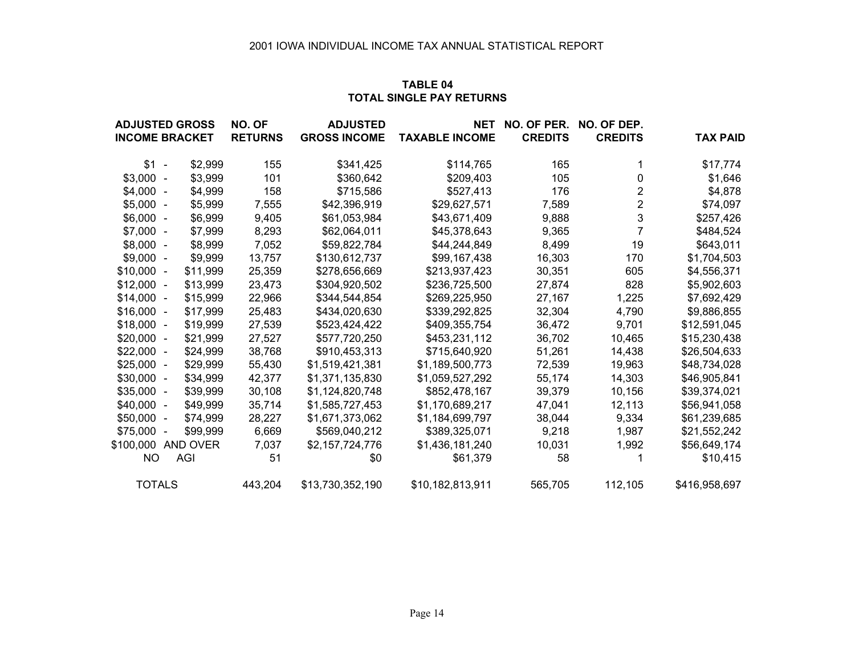#### **TABLE 04TOTAL SINGLE PAY RETURNS**

| <b>ADJUSTED GROSS</b> |          | <b>NO. OF</b>  | <b>ADJUSTED</b>     | NET                   | NO. OF PER.    | NO. OF DEP.             |                 |
|-----------------------|----------|----------------|---------------------|-----------------------|----------------|-------------------------|-----------------|
| <b>INCOME BRACKET</b> |          | <b>RETURNS</b> | <b>GROSS INCOME</b> | <b>TAXABLE INCOME</b> | <b>CREDITS</b> | <b>CREDITS</b>          | <b>TAX PAID</b> |
| $$1 -$                | \$2,999  | 155            | \$341,425           | \$114,765             | 165            | 1                       | \$17,774        |
| $$3,000 -$            | \$3,999  | 101            | \$360,642           | \$209,403             | 105            | 0                       | \$1,646         |
| $$4,000 -$            | \$4,999  | 158            | \$715,586           | \$527,413             | 176            | $\overline{2}$          | \$4,878         |
| $$5,000 -$            | \$5,999  | 7,555          | \$42,396,919        | \$29,627,571          | 7,589          | $\overline{\mathbf{c}}$ | \$74,097        |
| $$6,000 -$            | \$6,999  | 9,405          | \$61,053,984        | \$43,671,409          | 9,888          | 3                       | \$257,426       |
| $$7,000 -$            | \$7,999  | 8,293          | \$62,064,011        | \$45,378,643          | 9,365          |                         | \$484,524       |
| $$8,000 -$            | \$8,999  | 7,052          | \$59,822,784        | \$44,244,849          | 8,499          | 19                      | \$643,011       |
| $$9,000 -$            | \$9,999  | 13,757         | \$130,612,737       | \$99,167,438          | 16,303         | 170                     | \$1,704,503     |
| $$10,000 -$           | \$11,999 | 25,359         | \$278,656,669       | \$213,937,423         | 30,351         | 605                     | \$4,556,371     |
| $$12,000 -$           | \$13,999 | 23,473         | \$304,920,502       | \$236,725,500         | 27,874         | 828                     | \$5,902,603     |
| $$14,000 -$           | \$15,999 | 22,966         | \$344,544,854       | \$269,225,950         | 27,167         | 1,225                   | \$7,692,429     |
| $$16,000 -$           | \$17,999 | 25,483         | \$434,020,630       | \$339,292,825         | 32,304         | 4,790                   | \$9,886,855     |
| $$18,000 -$           | \$19,999 | 27,539         | \$523,424,422       | \$409,355,754         | 36,472         | 9,701                   | \$12,591,045    |
| $$20,000 -$           | \$21,999 | 27,527         | \$577,720,250       | \$453,231,112         | 36,702         | 10,465                  | \$15,230,438    |
| $$22,000 -$           | \$24,999 | 38,768         | \$910,453,313       | \$715,640,920         | 51,261         | 14,438                  | \$26,504,633    |
| $$25,000 -$           | \$29,999 | 55,430         | \$1,519,421,381     | \$1,189,500,773       | 72,539         | 19,963                  | \$48,734,028    |
| $$30,000 -$           | \$34,999 | 42,377         | \$1,371,135,830     | \$1,059,527,292       | 55,174         | 14,303                  | \$46,905,841    |
| $$35,000 -$           | \$39,999 | 30,108         | \$1,124,820,748     | \$852,478,167         | 39,379         | 10,156                  | \$39,374,021    |
| $$40,000 -$           | \$49,999 | 35,714         | \$1,585,727,453     | \$1,170,689,217       | 47,041         | 12,113                  | \$56,941,058    |
| $$50,000 -$           | \$74,999 | 28,227         | \$1,671,373,062     | \$1,184,699,797       | 38,044         | 9,334                   | \$61,239,685    |
| $$75,000 -$           | \$99,999 | 6,669          | \$569,040,212       | \$389,325,071         | 9,218          | 1,987                   | \$21,552,242    |
| \$100,000             | AND OVER | 7,037          | \$2,157,724,776     | \$1,436,181,240       | 10,031         | 1,992                   | \$56,649,174    |
| <b>NO</b>             | AGI      | 51             | \$0                 | \$61,379              | 58             |                         | \$10,415        |
| <b>TOTALS</b>         |          | 443,204        | \$13,730,352,190    | \$10,182,813,911      | 565,705        | 112,105                 | \$416,958,697   |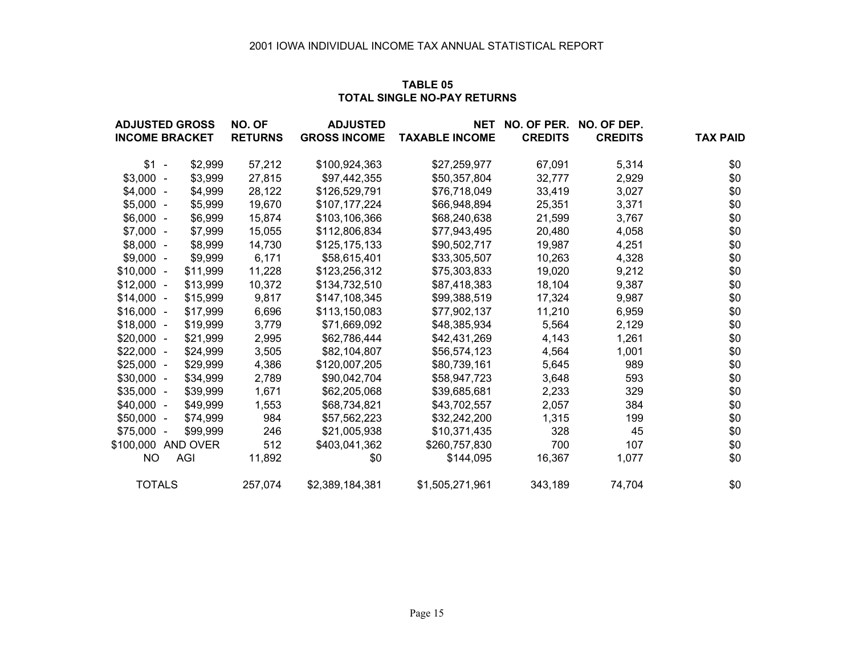#### **TABLE 05TOTAL SINGLE NO-PAY RETURNS**

|               | <b>ADJUSTED GROSS</b> | NO. OF         | <b>ADJUSTED</b>     | <b>NET</b>            | NO. OF PER.    | NO. OF DEP.    |                 |
|---------------|-----------------------|----------------|---------------------|-----------------------|----------------|----------------|-----------------|
|               | <b>INCOME BRACKET</b> | <b>RETURNS</b> | <b>GROSS INCOME</b> | <b>TAXABLE INCOME</b> | <b>CREDITS</b> | <b>CREDITS</b> | <b>TAX PAID</b> |
| $$1 -$        | \$2,999               | 57,212         | \$100,924,363       | \$27,259,977          | 67,091         | 5,314          | \$0             |
| $$3,000 -$    | \$3,999               | 27,815         | \$97,442,355        | \$50,357,804          | 32,777         | 2,929          | \$0             |
| $$4,000 -$    | \$4,999               | 28,122         | \$126,529,791       | \$76,718,049          | 33,419         | 3,027          | \$0             |
| $$5,000 -$    | \$5,999               | 19,670         | \$107,177,224       | \$66,948,894          | 25,351         | 3,371          | \$0             |
| $$6,000 -$    | \$6,999               | 15,874         | \$103,106,366       | \$68,240,638          | 21,599         | 3,767          | \$0             |
| $$7,000 -$    | \$7,999               | 15,055         | \$112,806,834       | \$77,943,495          | 20,480         | 4,058          | \$0             |
| $$8,000 -$    | \$8,999               | 14,730         | \$125,175,133       | \$90,502,717          | 19,987         | 4,251          | \$0             |
| $$9,000 -$    | \$9,999               | 6,171          | \$58,615,401        | \$33,305,507          | 10,263         | 4,328          | \$0             |
| $$10,000 -$   | \$11,999              | 11,228         | \$123,256,312       | \$75,303,833          | 19,020         | 9,212          | \$0             |
| $$12,000 -$   | \$13,999              | 10,372         | \$134,732,510       | \$87,418,383          | 18,104         | 9,387          | \$0             |
| $$14,000 -$   | \$15,999              | 9,817          | \$147,108,345       | \$99,388,519          | 17,324         | 9,987          | \$0             |
| $$16,000 -$   | \$17,999              | 6,696          | \$113,150,083       | \$77,902,137          | 11,210         | 6,959          | \$0             |
| $$18,000 -$   | \$19,999              | 3,779          | \$71,669,092        | \$48,385,934          | 5,564          | 2,129          | \$0             |
| $$20,000 -$   | \$21,999              | 2,995          | \$62,786,444        | \$42,431,269          | 4,143          | 1,261          | \$0             |
| $$22,000 -$   | \$24,999              | 3,505          | \$82,104,807        | \$56,574,123          | 4,564          | 1,001          | \$0             |
| $$25,000 -$   | \$29,999              | 4,386          | \$120,007,205       | \$80,739,161          | 5,645          | 989            | \$0             |
| $$30,000 -$   | \$34,999              | 2,789          | \$90,042,704        | \$58,947,723          | 3,648          | 593            | \$0             |
| $$35,000 -$   | \$39,999              | 1,671          | \$62,205,068        | \$39,685,681          | 2,233          | 329            | \$0             |
| $$40,000 -$   | \$49,999              | 1,553          | \$68,734,821        | \$43,702,557          | 2,057          | 384            | \$0             |
| $$50,000 -$   | \$74,999              | 984            | \$57,562,223        | \$32,242,200          | 1,315          | 199            | \$0             |
| $$75,000 -$   | \$99,999              | 246            | \$21,005,938        | \$10,371,435          | 328            | 45             | \$0             |
|               | \$100,000 AND OVER    | 512            | \$403,041,362       | \$260,757,830         | 700            | 107            | \$0             |
| NO.           | AGI                   | 11,892         | \$0                 | \$144,095             | 16,367         | 1,077          | \$0             |
| <b>TOTALS</b> |                       | 257,074        | \$2,389,184,381     | \$1,505,271,961       | 343,189        | 74,704         | \$0             |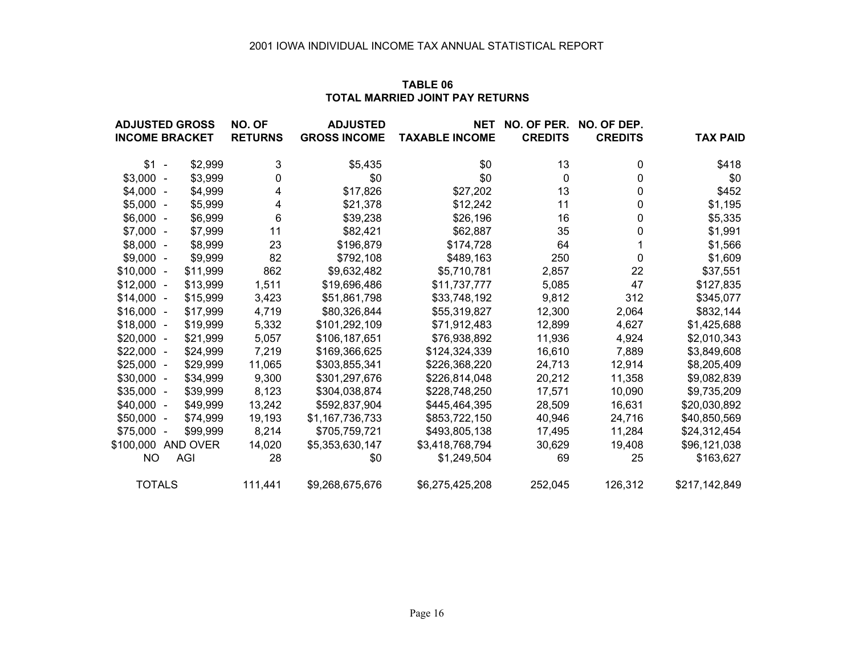#### **TABLE 06TOTAL MARRIED JOINT PAY RETURNS**

| <b>ADJUSTED GROSS</b> |          | NO. OF         | <b>ADJUSTED</b>     | <b>NET</b>            | NO. OF PER.    | NO. OF DEP.    |                 |
|-----------------------|----------|----------------|---------------------|-----------------------|----------------|----------------|-----------------|
| <b>INCOME BRACKET</b> |          | <b>RETURNS</b> | <b>GROSS INCOME</b> | <b>TAXABLE INCOME</b> | <b>CREDITS</b> | <b>CREDITS</b> | <b>TAX PAID</b> |
| $$1 -$                | \$2,999  | 3              | \$5,435             | \$0                   | 13             | 0              | \$418           |
| $$3,000 -$            | \$3,999  | 0              | \$0                 | \$0                   | 0              | 0              | \$0             |
| $$4,000 -$            | \$4,999  | 4              | \$17,826            | \$27,202              | 13             | 0              | \$452           |
| $$5,000 -$            | \$5,999  | 4              | \$21,378            | \$12,242              | 11             | 0              | \$1,195         |
| $$6,000 -$            | \$6,999  | 6              | \$39,238            | \$26,196              | 16             | 0              | \$5,335         |
| $$7,000 -$            | \$7,999  | 11             | \$82,421            | \$62,887              | 35             | 0              | \$1,991         |
| $$8,000 -$            | \$8,999  | 23             | \$196,879           | \$174,728             | 64             |                | \$1,566         |
| $$9,000 -$            | \$9,999  | 82             | \$792,108           | \$489,163             | 250            | 0              | \$1,609         |
| $$10,000 -$           | \$11,999 | 862            | \$9,632,482         | \$5,710,781           | 2,857          | 22             | \$37,551        |
| $$12,000 -$           | \$13,999 | 1,511          | \$19,696,486        | \$11,737,777          | 5,085          | 47             | \$127,835       |
| $$14,000 -$           | \$15,999 | 3,423          | \$51,861,798        | \$33,748,192          | 9,812          | 312            | \$345,077       |
| $$16,000 -$           | \$17,999 | 4,719          | \$80,326,844        | \$55,319,827          | 12,300         | 2,064          | \$832,144       |
| $$18,000 -$           | \$19,999 | 5,332          | \$101,292,109       | \$71,912,483          | 12,899         | 4,627          | \$1,425,688     |
| $$20,000 -$           | \$21,999 | 5,057          | \$106,187,651       | \$76,938,892          | 11,936         | 4,924          | \$2,010,343     |
| $$22,000 -$           | \$24,999 | 7,219          | \$169,366,625       | \$124,324,339         | 16,610         | 7,889          | \$3,849,608     |
| $$25,000 -$           | \$29,999 | 11,065         | \$303,855,341       | \$226,368,220         | 24,713         | 12,914         | \$8,205,409     |
| $$30,000 -$           | \$34,999 | 9,300          | \$301,297,676       | \$226,814,048         | 20,212         | 11,358         | \$9,082,839     |
| $$35,000 -$           | \$39,999 | 8,123          | \$304,038,874       | \$228,748,250         | 17,571         | 10,090         | \$9,735,209     |
| $$40,000 -$           | \$49,999 | 13,242         | \$592,837,904       | \$445,464,395         | 28,509         | 16,631         | \$20,030,892    |
| $$50,000 -$           | \$74,999 | 19,193         | \$1,167,736,733     | \$853,722,150         | 40,946         | 24,716         | \$40,850,569    |
| \$75,000 -            | \$99,999 | 8,214          | \$705,759,721       | \$493,805,138         | 17,495         | 11,284         | \$24,312,454    |
| \$100,000             | AND OVER | 14,020         | \$5,353,630,147     | \$3,418,768,794       | 30,629         | 19,408         | \$96,121,038    |
| <b>NO</b>             | AGI      | 28             | \$0                 | \$1,249,504           | 69             | 25             | \$163,627       |
| <b>TOTALS</b>         |          | 111,441        | \$9,268,675,676     | \$6,275,425,208       | 252,045        | 126,312        | \$217,142,849   |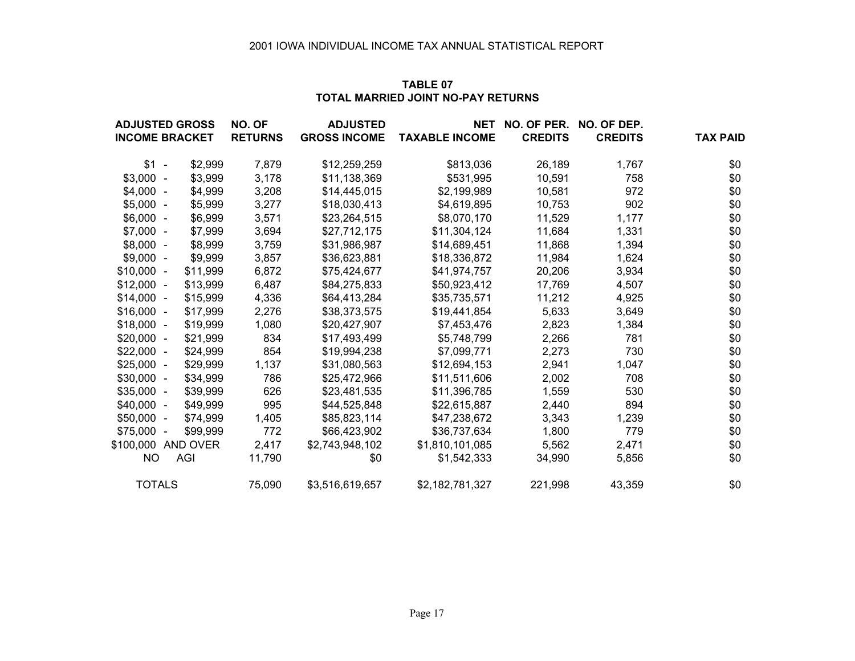#### **TABLE 07TOTAL MARRIED JOINT NO-PAY RETURNS**

| <b>ADJUSTED GROSS</b> |          | NO. OF         | <b>ADJUSTED</b>     | <b>NET</b>            | NO. OF PER.    | NO. OF DEP.    |                 |
|-----------------------|----------|----------------|---------------------|-----------------------|----------------|----------------|-----------------|
| <b>INCOME BRACKET</b> |          | <b>RETURNS</b> | <b>GROSS INCOME</b> | <b>TAXABLE INCOME</b> | <b>CREDITS</b> | <b>CREDITS</b> | <b>TAX PAID</b> |
| $$1 -$                | \$2,999  | 7,879          | \$12,259,259        | \$813,036             | 26,189         | 1,767          | \$0             |
| $$3,000 -$            | \$3,999  | 3,178          | \$11,138,369        | \$531,995             | 10,591         | 758            | \$0             |
| $$4,000 -$            | \$4,999  | 3,208          | \$14,445,015        | \$2,199,989           | 10,581         | 972            | \$0             |
| $$5,000 -$            | \$5,999  | 3,277          | \$18,030,413        | \$4,619,895           | 10,753         | 902            | \$0             |
| $$6,000 -$            | \$6,999  | 3,571          | \$23,264,515        | \$8,070,170           | 11,529         | 1,177          | \$0             |
| $$7,000 -$            | \$7,999  | 3,694          | \$27,712,175        | \$11,304,124          | 11,684         | 1,331          | \$0             |
| $$8,000 -$            | \$8,999  | 3,759          | \$31,986,987        | \$14,689,451          | 11,868         | 1,394          | \$0             |
| $$9,000 -$            | \$9,999  | 3,857          | \$36,623,881        | \$18,336,872          | 11,984         | 1,624          | \$0             |
| $$10,000 -$           | \$11,999 | 6,872          | \$75,424,677        | \$41,974,757          | 20,206         | 3,934          | \$0             |
| $$12,000 -$           | \$13,999 | 6,487          | \$84,275,833        | \$50,923,412          | 17,769         | 4,507          | \$0             |
| $$14,000 -$           | \$15,999 | 4,336          | \$64,413,284        | \$35,735,571          | 11,212         | 4,925          | \$0             |
| $$16,000 -$           | \$17,999 | 2,276          | \$38,373,575        | \$19,441,854          | 5,633          | 3,649          | \$0             |
| $$18,000 -$           | \$19,999 | 1,080          | \$20,427,907        | \$7,453,476           | 2,823          | 1,384          | \$0             |
| $$20,000 -$           | \$21,999 | 834            | \$17,493,499        | \$5,748,799           | 2,266          | 781            | \$0             |
| $$22,000 -$           | \$24,999 | 854            | \$19,994,238        | \$7,099,771           | 2,273          | 730            | \$0             |
| $$25,000 -$           | \$29,999 | 1,137          | \$31,080,563        | \$12,694,153          | 2,941          | 1,047          | \$0             |
| $$30,000 -$           | \$34,999 | 786            | \$25,472,966        | \$11,511,606          | 2,002          | 708            | \$0             |
| $$35,000 -$           | \$39,999 | 626            | \$23,481,535        | \$11,396,785          | 1,559          | 530            | \$0             |
| $$40,000 -$           | \$49,999 | 995            | \$44,525,848        | \$22,615,887          | 2,440          | 894            | \$0             |
| $$50,000 -$           | \$74,999 | 1,405          | \$85,823,114        | \$47,238,672          | 3,343          | 1,239          | \$0             |
| $$75,000 -$           | \$99,999 | 772            | \$66,423,902        | \$36,737,634          | 1,800          | 779            | \$0             |
| \$100,000 AND OVER    |          | 2,417          | \$2,743,948,102     | \$1,810,101,085       | 5,562          | 2,471          | \$0             |
| NO.                   | AGI      | 11.790         | \$0                 | \$1,542,333           | 34,990         | 5,856          | \$0             |
| <b>TOTALS</b>         |          | 75,090         | \$3,516,619,657     | \$2,182,781,327       | 221,998        | 43,359         | \$0             |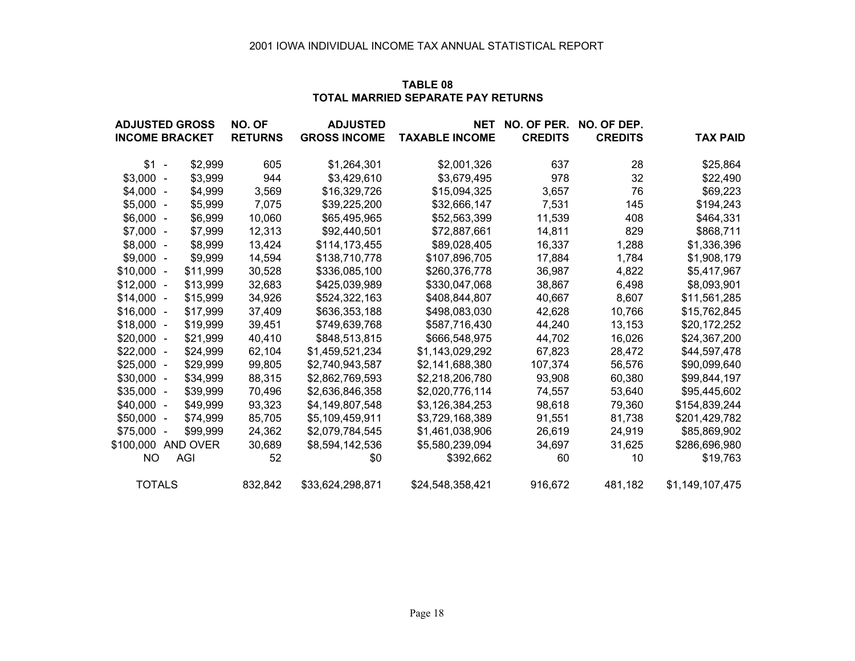#### **TABLE 08TOTAL MARRIED SEPARATE PAY RETURNS**

| <b>ADJUSTED GROSS</b> |          | NO. OF         | <b>ADJUSTED</b>     | <b>NET</b>            | NO. OF PER.    | NO. OF DEP.    |                 |
|-----------------------|----------|----------------|---------------------|-----------------------|----------------|----------------|-----------------|
| <b>INCOME BRACKET</b> |          | <b>RETURNS</b> | <b>GROSS INCOME</b> | <b>TAXABLE INCOME</b> | <b>CREDITS</b> | <b>CREDITS</b> | <b>TAX PAID</b> |
| $$1 -$                | \$2,999  | 605            | \$1,264,301         | \$2,001,326           | 637            | 28             | \$25,864        |
| $$3,000 -$            | \$3,999  | 944            | \$3,429,610         | \$3,679,495           | 978            | 32             | \$22,490        |
| $$4,000 -$            | \$4,999  | 3,569          | \$16,329,726        | \$15,094,325          | 3,657          | 76             | \$69,223        |
| $$5,000 -$            | \$5,999  | 7,075          | \$39,225,200        | \$32,666,147          | 7,531          | 145            | \$194,243       |
| $$6,000 -$            | \$6,999  | 10,060         | \$65,495,965        | \$52,563,399          | 11,539         | 408            | \$464,331       |
| $$7,000 -$            | \$7,999  | 12,313         | \$92,440,501        | \$72,887,661          | 14,811         | 829            | \$868,711       |
| $$8,000 -$            | \$8,999  | 13,424         | \$114,173,455       | \$89,028,405          | 16,337         | 1,288          | \$1,336,396     |
| $$9,000 -$            | \$9,999  | 14,594         | \$138,710,778       | \$107,896,705         | 17,884         | 1,784          | \$1,908,179     |
| $$10,000 -$           | \$11,999 | 30,528         | \$336,085,100       | \$260,376,778         | 36,987         | 4,822          | \$5,417,967     |
| $$12,000 -$           | \$13,999 | 32,683         | \$425,039,989       | \$330,047,068         | 38,867         | 6,498          | \$8,093,901     |
| $$14,000 -$           | \$15,999 | 34,926         | \$524,322,163       | \$408,844,807         | 40,667         | 8,607          | \$11,561,285    |
| $$16,000 -$           | \$17,999 | 37,409         | \$636,353,188       | \$498,083,030         | 42,628         | 10,766         | \$15,762,845    |
| $$18,000 -$           | \$19,999 | 39,451         | \$749,639,768       | \$587,716,430         | 44,240         | 13,153         | \$20,172,252    |
| $$20,000 -$           | \$21,999 | 40,410         | \$848,513,815       | \$666,548,975         | 44,702         | 16,026         | \$24,367,200    |
| $$22,000 -$           | \$24,999 | 62,104         | \$1,459,521,234     | \$1,143,029,292       | 67,823         | 28,472         | \$44,597,478    |
| $$25,000 -$           | \$29,999 | 99,805         | \$2,740,943,587     | \$2,141,688,380       | 107,374        | 56,576         | \$90,099,640    |
| $$30,000 -$           | \$34,999 | 88,315         | \$2,862,769,593     | \$2,218,206,780       | 93,908         | 60,380         | \$99,844,197    |
| $$35,000 -$           | \$39,999 | 70,496         | \$2,636,846,358     | \$2,020,776,114       | 74,557         | 53,640         | \$95,445,602    |
| $$40,000 -$           | \$49,999 | 93,323         | \$4,149,807,548     | \$3,126,384,253       | 98,618         | 79,360         | \$154,839,244   |
| $$50,000 -$           | \$74,999 | 85,705         | \$5,109,459,911     | \$3,729,168,389       | 91,551         | 81,738         | \$201,429,782   |
| $$75,000 -$           | \$99,999 | 24,362         | \$2,079,784,545     | \$1,461,038,906       | 26,619         | 24,919         | \$85,869,902    |
| \$100,000             | AND OVER | 30,689         | \$8,594,142,536     | \$5,580,239,094       | 34,697         | 31,625         | \$286,696,980   |
| NO                    | AGI      | 52             | \$0                 | \$392,662             | 60             | 10             | \$19,763        |
| <b>TOTALS</b>         |          | 832,842        | \$33,624,298,871    | \$24,548,358,421      | 916,672        | 481,182        | \$1,149,107,475 |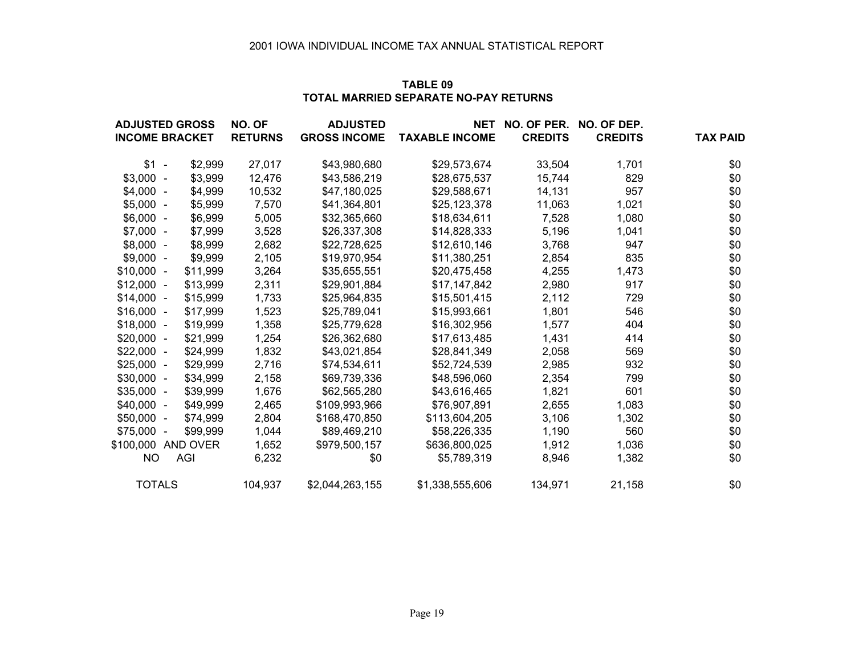#### **TABLE 09TOTAL MARRIED SEPARATE NO-PAY RETURNS**

| <b>ADJUSTED GROSS</b> |          | NO. OF         | <b>ADJUSTED</b>     | <b>NET</b>            | NO. OF PER.    | NO. OF DEP.    |                 |
|-----------------------|----------|----------------|---------------------|-----------------------|----------------|----------------|-----------------|
| <b>INCOME BRACKET</b> |          | <b>RETURNS</b> | <b>GROSS INCOME</b> | <b>TAXABLE INCOME</b> | <b>CREDITS</b> | <b>CREDITS</b> | <b>TAX PAID</b> |
| $$1 -$                | \$2,999  | 27,017         | \$43,980,680        | \$29,573,674          | 33,504         | 1,701          | \$0             |
| $$3,000 -$            | \$3,999  | 12,476         | \$43,586,219        | \$28,675,537          | 15,744         | 829            | \$0             |
| $$4,000 -$            | \$4,999  | 10,532         | \$47,180,025        | \$29,588,671          | 14,131         | 957            | \$0             |
| $$5,000 -$            | \$5,999  | 7,570          | \$41,364,801        | \$25,123,378          | 11,063         | 1,021          | \$0             |
| $$6,000 -$            | \$6,999  | 5,005          | \$32,365,660        | \$18,634,611          | 7,528          | 1,080          | \$0             |
| $$7,000 -$            | \$7,999  | 3,528          | \$26,337,308        | \$14,828,333          | 5,196          | 1,041          | \$0             |
| $$8,000 -$            | \$8,999  | 2,682          | \$22,728,625        | \$12,610,146          | 3,768          | 947            | \$0             |
| $$9,000 -$            | \$9,999  | 2,105          | \$19,970,954        | \$11,380,251          | 2,854          | 835            | \$0             |
| $$10,000 -$           | \$11,999 | 3,264          | \$35,655,551        | \$20,475,458          | 4,255          | 1,473          | \$0             |
| $$12,000 -$           | \$13,999 | 2,311          | \$29,901,884        | \$17,147,842          | 2,980          | 917            | \$0             |
| $$14,000 -$           | \$15,999 | 1,733          | \$25,964,835        | \$15,501,415          | 2,112          | 729            | \$0             |
| $$16,000 -$           | \$17,999 | 1,523          | \$25,789,041        | \$15,993,661          | 1,801          | 546            | \$0             |
| $$18,000 -$           | \$19,999 | 1,358          | \$25,779,628        | \$16,302,956          | 1,577          | 404            | \$0             |
| $$20,000 -$           | \$21,999 | 1,254          | \$26,362,680        | \$17,613,485          | 1,431          | 414            | \$0             |
| $$22,000 -$           | \$24,999 | 1,832          | \$43,021,854        | \$28,841,349          | 2,058          | 569            | \$0             |
| $$25,000 -$           | \$29,999 | 2,716          | \$74,534,611        | \$52,724,539          | 2,985          | 932            | \$0             |
| $$30,000 -$           | \$34,999 | 2,158          | \$69,739,336        | \$48,596,060          | 2,354          | 799            | \$0             |
| $$35,000 -$           | \$39,999 | 1,676          | \$62,565,280        | \$43,616,465          | 1,821          | 601            | \$0             |
| $$40,000 -$           | \$49,999 | 2,465          | \$109,993,966       | \$76,907,891          | 2,655          | 1,083          | \$0             |
| $$50,000 -$           | \$74,999 | 2,804          | \$168,470,850       | \$113,604,205         | 3,106          | 1,302          | \$0             |
| $$75,000 -$           | \$99,999 | 1,044          | \$89,469,210        | \$58,226,335          | 1,190          | 560            | \$0             |
| \$100,000 AND OVER    |          | 1,652          | \$979,500,157       | \$636,800,025         | 1,912          | 1,036          | \$0             |
| NO.                   | AGI      | 6,232          | \$0                 | \$5,789,319           | 8,946          | 1,382          | \$0             |
| <b>TOTALS</b>         |          | 104,937        | \$2,044,263,155     | \$1,338,555,606       | 134,971        | 21,158         | \$0             |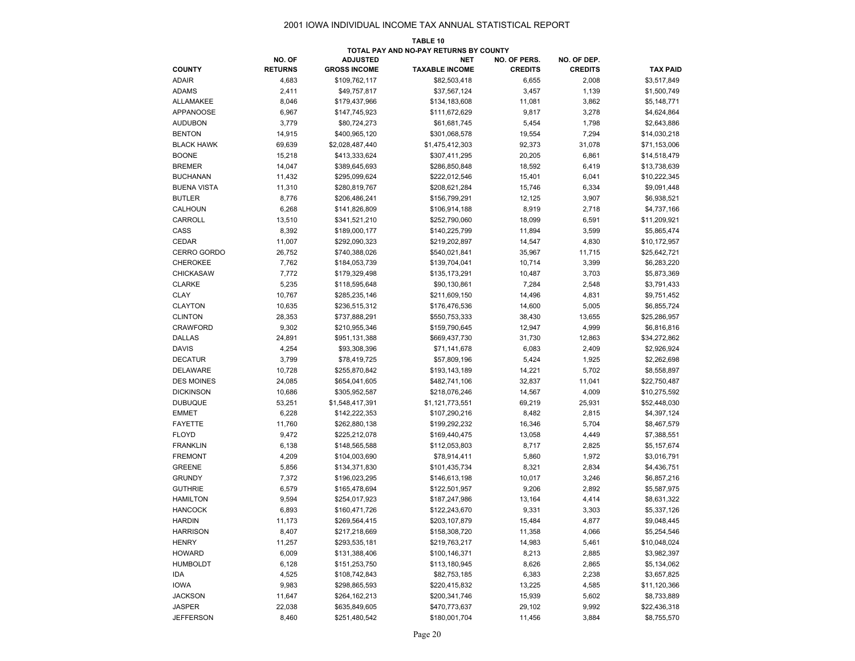#### 2001 IOWA INDIVIDUAL INCOME TAX ANNUAL STATISTICAL REPORT

|                                   |                  |                                  | <b>TABLE 10</b><br>TOTAL PAY AND NO-PAY RETURNS BY COUNTY |                  |                 |                              |
|-----------------------------------|------------------|----------------------------------|-----------------------------------------------------------|------------------|-----------------|------------------------------|
|                                   | NO. OF           | <b>ADJUSTED</b>                  | <b>NET</b>                                                | NO. OF PERS.     | NO. OF DEP.     |                              |
| <b>COUNTY</b>                     | <b>RETURNS</b>   | <b>GROSS INCOME</b>              | <b>TAXABLE INCOME</b>                                     | <b>CREDITS</b>   | <b>CREDITS</b>  | <b>TAX PAID</b>              |
| <b>ADAIR</b>                      | 4,683            | \$109,762,117                    | \$82,503,418                                              | 6,655            | 2,008           | \$3,517,849                  |
| <b>ADAMS</b>                      | 2,411            | \$49,757,817                     | \$37,567,124                                              | 3,457            | 1,139           | \$1,500,749                  |
| <b>ALLAMAKEE</b>                  | 8,046            | \$179,437,966                    | \$134,183,608                                             | 11,081           | 3,862           | \$5,148,771                  |
| <b>APPANOOSE</b>                  | 6,967            | \$147,745,923                    | \$111,672,629                                             | 9,817            | 3,278           | \$4,624,864                  |
| <b>AUDUBON</b>                    | 3,779            | \$80,724,273                     | \$61,681,745                                              | 5,454            | 1,798           | \$2,643,886                  |
| <b>BENTON</b>                     | 14,915           | \$400,965,120                    | \$301,068,578                                             | 19,554           | 7,294           | \$14,030,218                 |
| <b>BLACK HAWK</b>                 | 69,639           | \$2,028,487,440                  | \$1,475,412,303                                           | 92,373           | 31,078          | \$71,153,006                 |
| <b>BOONE</b>                      | 15,218           | \$413,333,624                    | \$307,411,295                                             | 20,205           | 6,861           | \$14,518,479                 |
| <b>BREMER</b>                     | 14,047           | \$389,645,693                    | \$286,850,848                                             | 18,592           | 6,419           | \$13,738,639                 |
| <b>BUCHANAN</b>                   | 11,432           | \$295,099,624                    | \$222,012,546                                             | 15,401           | 6,041           | \$10,222,345                 |
| <b>BUENA VISTA</b>                | 11,310           | \$280,819,767                    | \$208,621,284                                             | 15,746           | 6,334           | \$9,091,448                  |
| <b>BUTLER</b>                     | 8,776            | \$206,486,241                    | \$156,799,291                                             | 12,125           | 3,907           | \$6,938,521                  |
| CALHOUN                           | 6,268            | \$141,826,809                    | \$106,914,188                                             | 8,919            | 2,718           | \$4,737,166                  |
| CARROLL                           | 13,510           | \$341,521,210                    | \$252,790,060                                             | 18,099           | 6,591           | \$11,209,921                 |
| CASS                              | 8,392            | \$189,000,177                    | \$140,225,799                                             | 11,894           | 3,599           | \$5,865,474                  |
| CEDAR                             | 11,007           | \$292,090,323                    | \$219,202,897                                             | 14,547           | 4,830           | \$10,172,957                 |
| CERRO GORDO                       | 26,752           | \$740,388,026                    | \$540,021,841                                             | 35,967           | 11,715          | \$25,642,721                 |
| <b>CHEROKEE</b>                   | 7,762            | \$184,053,739                    | \$139,704,041                                             | 10,714           | 3,399           | \$6,283,220                  |
| <b>CHICKASAW</b>                  | 7,772            | \$179,329,498                    | \$135,173,291                                             | 10,487           | 3,703           | \$5,873,369                  |
| <b>CLARKE</b>                     | 5,235            | \$118,595,648                    | \$90,130,861                                              | 7,284            | 2,548           | \$3,791,433                  |
| <b>CLAY</b>                       | 10,767           | \$285,235,146                    |                                                           | 14,496           | 4,831           |                              |
| <b>CLAYTON</b>                    | 10,635           | \$236,515,312                    | \$211,609,150                                             | 14,600           | 5,005           | \$9,751,452<br>\$6,855,724   |
| <b>CLINTON</b>                    | 28,353           | \$737,888,291                    | \$176,476,536                                             |                  |                 |                              |
| <b>CRAWFORD</b>                   | 9,302            | \$210,955,346                    | \$550,753,333<br>\$159,790,645                            | 38,430<br>12,947 | 13,655<br>4,999 | \$25,286,957<br>\$6,816,816  |
| <b>DALLAS</b>                     | 24,891           | \$951,131,388                    | \$669,437,730                                             | 31,730           | 12,863          | \$34,272,862                 |
| <b>DAVIS</b>                      | 4,254            | \$93,308,396                     | \$71,141,678                                              | 6,083            | 2,409           | \$2,926,924                  |
| <b>DECATUR</b>                    | 3,799            | \$78,419,725                     | \$57,809,196                                              | 5,424            | 1,925           | \$2,262,698                  |
| <b>DELAWARE</b>                   |                  |                                  |                                                           |                  | 5,702           |                              |
| <b>DES MOINES</b>                 | 10,728<br>24,085 | \$255,870,842<br>\$654,041,605   | \$193,143,189<br>\$482,741,106                            | 14,221<br>32,837 | 11,041          | \$8,558,897<br>\$22,750,487  |
| <b>DICKINSON</b>                  |                  |                                  |                                                           |                  | 4,009           |                              |
| <b>DUBUQUE</b>                    | 10,686<br>53,251 | \$305,952,587<br>\$1,548,417,391 | \$218,076,246<br>\$1,121,773,551                          | 14,567<br>69,219 | 25,931          | \$10,275,592<br>\$52,448,030 |
| <b>EMMET</b>                      | 6,228            | \$142,222,353                    | \$107,290,216                                             | 8,482            | 2,815           | \$4,397,124                  |
| <b>FAYETTE</b>                    | 11,760           | \$262,880,138                    | \$199,292,232                                             | 16,346           | 5,704           | \$8,467,579                  |
| <b>FLOYD</b>                      |                  |                                  |                                                           |                  |                 |                              |
| <b>FRANKLIN</b>                   | 9,472<br>6,138   | \$225,212,078<br>\$148,565,588   | \$169,440,475<br>\$112,053,803                            | 13,058<br>8,717  | 4,449<br>2,825  | \$7,388,551<br>\$5,157,674   |
| <b>FREMONT</b>                    | 4,209            | \$104,003,690                    | \$78,914,411                                              |                  | 1,972           | \$3,016,791                  |
| <b>GREENE</b>                     |                  |                                  | \$101,435,734                                             | 5,860            | 2,834           |                              |
| <b>GRUNDY</b>                     | 5,856<br>7,372   | \$134,371,830<br>\$196,023,295   | \$146,613,198                                             | 8,321<br>10,017  | 3,246           | \$4,436,751<br>\$6,857,216   |
| <b>GUTHRIE</b>                    | 6,579            | \$165,478,694                    | \$122,501,957                                             | 9,206            | 2,892           | \$5,587,975                  |
| <b>HAMILTON</b>                   | 9,594            | \$254,017,923                    | \$187,247,986                                             | 13,164           | 4,414           | \$8,631,322                  |
| <b>HANCOCK</b>                    |                  |                                  | \$122,243,670                                             | 9,331            |                 |                              |
| <b>HARDIN</b>                     | 6,893<br>11,173  | \$160,471,726<br>\$269,564,415   | \$203,107,879                                             | 15,484           | 3,303<br>4,877  | \$5,337,126<br>\$9,048,445   |
| <b>HARRISON</b>                   |                  |                                  |                                                           |                  |                 |                              |
| <b>HENRY</b>                      | 8,407            | \$217,218,669                    | \$158,308,720                                             | 11,358           | 4,066           | \$5,254,546                  |
|                                   | 11,257           | \$293,535,181                    | \$219,763,217                                             | 14,983           | 5,461           | \$10,048,024                 |
| <b>HOWARD</b><br><b>HUMBOLDT</b>  | 6,009            | \$131,388,406<br>\$151,253,750   | \$100,146,371                                             | 8,213            | 2,885           | \$3,982,397                  |
|                                   | 6,128            |                                  | \$113,180,945                                             | 8,626            | 2,865           | \$5,134,062                  |
| IDA                               | 4,525            | \$108,742,843                    | \$82,753,185                                              | 6,383            | 2,238           | \$3,657,825                  |
| <b>IOWA</b>                       | 9,983            | \$298,865,593                    | \$220,415,832<br>\$200,341,746                            | 13,225           | 4,585           | \$11,120,366                 |
| <b>JACKSON</b>                    | 11,647           | \$264,162,213                    |                                                           | 15,939           | 5,602           | \$8,733,889                  |
| <b>JASPER</b><br><b>JEFFERSON</b> | 22,038<br>8,460  | \$635,849,605                    | \$470,773,637                                             | 29,102           | 9,992           | \$22,436,318                 |
|                                   |                  | \$251,480,542                    | \$180,001,704                                             | 11,456           | 3,884           | \$8,755,570                  |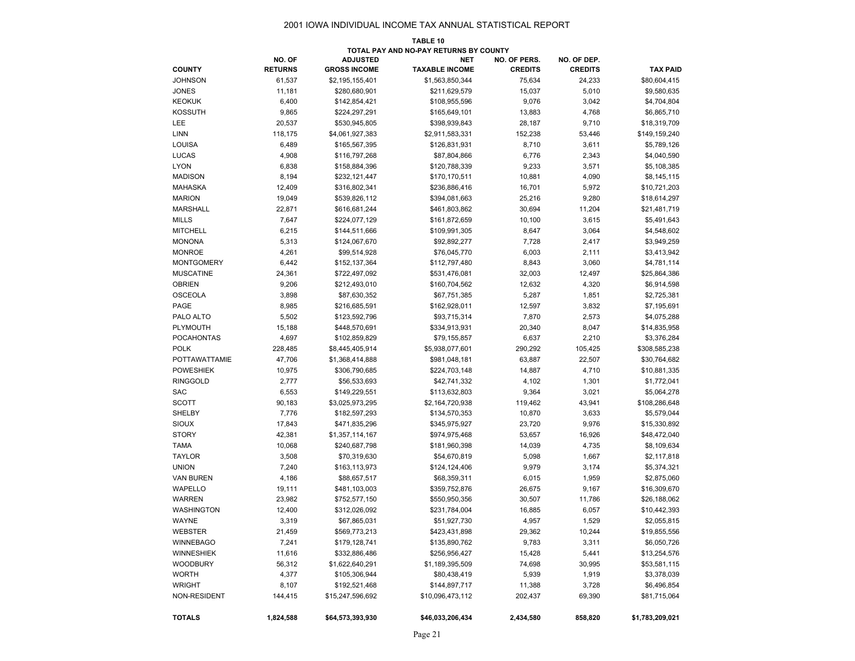#### 2001 IOWA INDIVIDUAL INCOME TAX ANNUAL STATISTICAL REPORT

|                                        |                |                     | TABLE 10              |                |                |                 |  |  |  |
|----------------------------------------|----------------|---------------------|-----------------------|----------------|----------------|-----------------|--|--|--|
| TOTAL PAY AND NO-PAY RETURNS BY COUNTY |                |                     |                       |                |                |                 |  |  |  |
|                                        | NO. OF         | <b>ADJUSTED</b>     | <b>NET</b>            | NO. OF PERS.   | NO. OF DEP.    |                 |  |  |  |
| <b>COUNTY</b>                          | <b>RETURNS</b> | <b>GROSS INCOME</b> | <b>TAXABLE INCOME</b> | <b>CREDITS</b> | <b>CREDITS</b> | <b>TAX PAID</b> |  |  |  |
| <b>JOHNSON</b>                         | 61,537         | \$2,195,155,401     | \$1,563,850,344       | 75,634         | 24,233         | \$80,604,415    |  |  |  |
| <b>JONES</b>                           | 11,181         | \$280,680,901       | \$211,629,579         | 15,037         | 5,010          | \$9,580,635     |  |  |  |
| <b>KEOKUK</b>                          | 6,400          | \$142,854,421       | \$108,955,596         | 9,076          | 3,042          | \$4,704,804     |  |  |  |
| <b>KOSSUTH</b>                         | 9,865          | \$224,297,291       | \$165,649,101         | 13,883         | 4,768          | \$6,865,710     |  |  |  |
| LEE                                    | 20,537         | \$530,945,805       | \$398,939,843         | 28,187         | 9,710          | \$18,319,709    |  |  |  |
| LINN                                   | 118,175        | \$4,061,927,383     | \$2,911,583,331       | 152,238        | 53,446         | \$149,159,240   |  |  |  |
| LOUISA                                 | 6,489          | \$165,567,395       | \$126,831,931         | 8,710          | 3,611          | \$5,789,126     |  |  |  |
| LUCAS                                  | 4,908          | \$116,797,268       | \$87,804,866          | 6,776          | 2,343          | \$4,040,590     |  |  |  |
| <b>LYON</b>                            | 6,838          | \$158,884,396       | \$120,788,339         | 9,233          | 3,571          | \$5,108,385     |  |  |  |
| <b>MADISON</b>                         | 8,194          | \$232,121,447       | \$170,170,511         | 10,881         | 4,090          | \$8,145,115     |  |  |  |
| <b>MAHASKA</b>                         | 12,409         | \$316,802,341       | \$236,886,416         | 16,701         | 5,972          | \$10,721,203    |  |  |  |
| <b>MARION</b>                          | 19,049         | \$539,826,112       | \$394,081,663         | 25,216         | 9,280          | \$18,614,297    |  |  |  |
| <b>MARSHALL</b>                        | 22,871         | \$616,681,244       | \$461,803,862         | 30,694         | 11,204         | \$21,481,719    |  |  |  |
| <b>MILLS</b>                           | 7,647          | \$224,077,129       | \$161,872,659         | 10,100         | 3,615          | \$5,491,643     |  |  |  |
| <b>MITCHELL</b>                        | 6,215          | \$144,511,666       | \$109,991,305         | 8,647          | 3,064          | \$4,548,602     |  |  |  |
| <b>MONONA</b>                          | 5,313          | \$124,067,670       | \$92,892,277          | 7,728          | 2,417          | \$3,949,259     |  |  |  |
| <b>MONROE</b>                          | 4,261          | \$99,514,928        | \$76,045,770          | 6,003          | 2,111          | \$3,413,942     |  |  |  |
| <b>MONTGOMERY</b>                      | 6,442          | \$152,137,364       | \$112,797,480         | 8,843          | 3,060          | \$4,781,114     |  |  |  |
| <b>MUSCATINE</b>                       | 24,361         | \$722,497,092       | \$531,476,081         | 32,003         | 12,497         | \$25,864,386    |  |  |  |
| <b>OBRIEN</b>                          | 9,206          | \$212,493,010       | \$160,704,562         | 12,632         | 4,320          | \$6,914,598     |  |  |  |
| <b>OSCEOLA</b>                         | 3,898          | \$87,630,352        | \$67,751,385          | 5,287          | 1,851          | \$2,725,381     |  |  |  |
| PAGE                                   | 8,985          | \$216,685,591       | \$162,928,011         | 12,597         | 3,832          | \$7,195,691     |  |  |  |
| PALO ALTO                              | 5,502          | \$123,592,796       | \$93,715,314          | 7,870          | 2,573          | \$4,075,288     |  |  |  |
| PLYMOUTH                               | 15,188         | \$448,570,691       | \$334,913,931         | 20,340         | 8,047          | \$14,835,958    |  |  |  |
| <b>POCAHONTAS</b>                      | 4,697          | \$102,859,829       | \$79,155,857          | 6,637          | 2,210          | \$3,376,284     |  |  |  |
| <b>POLK</b>                            | 228,485        | \$8,445,405,914     | \$5,938,077,601       | 290,292        | 105,425        | \$308,585,238   |  |  |  |
| POTTAWATTAMIE                          | 47,706         | \$1,368,414,888     | \$981,048,181         | 63,887         | 22,507         | \$30,764,682    |  |  |  |
| <b>POWESHIEK</b>                       | 10,975         | \$306,790,685       | \$224,703,148         | 14,887         | 4,710          | \$10,881,335    |  |  |  |
| <b>RINGGOLD</b>                        | 2,777          | \$56,533,693        | \$42,741,332          | 4,102          | 1,301          | \$1,772,041     |  |  |  |
| <b>SAC</b>                             | 6,553          | \$149,229,551       | \$113,632,803         | 9,364          | 3,021          | \$5,064,278     |  |  |  |
| <b>SCOTT</b>                           | 90,183         | \$3,025,973,295     | \$2,164,720,938       | 119,462        | 43,941         | \$108,286,648   |  |  |  |
| SHELBY                                 | 7,776          | \$182,597,293       | \$134,570,353         | 10,870         | 3,633          | \$5,579,044     |  |  |  |
| SIOUX                                  | 17,843         | \$471,835,296       | \$345,975,927         | 23,720         | 9,976          | \$15,330,892    |  |  |  |
| <b>STORY</b>                           | 42,381         | \$1,357,114,167     | \$974,975,468         | 53,657         | 16,926         | \$48,472,040    |  |  |  |
| <b>TAMA</b>                            | 10,068         | \$240,687,798       | \$181,960,398         | 14,039         | 4,735          | \$8,109,634     |  |  |  |
| <b>TAYLOR</b>                          | 3,508          | \$70,319,630        | \$54,670,819          | 5,098          | 1,667          | \$2,117,818     |  |  |  |
| <b>UNION</b>                           | 7,240          | \$163,113,973       | \$124,124,406         | 9,979          | 3,174          | \$5,374,321     |  |  |  |
| VAN BUREN                              | 4,186          | \$88,657,517        | \$68,359,311          | 6,015          | 1,959          | \$2,875,060     |  |  |  |
| WAPELLO                                | 19,111         | \$481,103,003       | \$359,752,876         | 26,675         | 9,167          | \$16,309,670    |  |  |  |
| <b>WARREN</b>                          | 23,982         | \$752,577,150       | \$550,950,356         | 30,507         | 11,786         | \$26,188,062    |  |  |  |
| <b>WASHINGTON</b>                      | 12,400         | \$312,026,092       | \$231,784,004         | 16,885         | 6,057          | \$10,442,393    |  |  |  |
| WAYNE                                  | 3,319          | \$67,865,031        | \$51,927,730          | 4,957          | 1,529          | \$2,055,815     |  |  |  |
| WEBSTER                                | 21,459         | \$569,773,213       | \$423,431,898         | 29,362         | 10,244         | \$19,855,556    |  |  |  |
| <b>WINNEBAGO</b>                       | 7,241          | \$179,128,741       | \$135,890,762         | 9,783          | 3,311          | \$6,050,726     |  |  |  |
| <b>WINNESHIEK</b>                      | 11,616         | \$332,886,486       | \$256,956,427         | 15,428         | 5,441          | \$13,254,576    |  |  |  |
| <b>WOODBURY</b>                        | 56,312         | \$1,622,640,291     | \$1,189,395,509       | 74,698         | 30,995         | \$53,581,115    |  |  |  |
| <b>WORTH</b>                           | 4,377          | \$105,306,944       | \$80,438,419          | 5,939          | 1,919          | \$3,378,039     |  |  |  |
| <b>WRIGHT</b>                          | 8,107          | \$192,521,468       | \$144,897,717         | 11,388         | 3,728          | \$6,496,854     |  |  |  |
| NON-RESIDENT                           | 144,415        | \$15,247,596,692    | \$10,096,473,112      | 202,437        | 69,390         | \$81,715,064    |  |  |  |
|                                        |                |                     |                       |                |                |                 |  |  |  |
| <b>TOTALS</b>                          | 1,824,588      | \$64,573,393,930    | \$46,033,206,434      | 2,434,580      | 858,820        | \$1,783,209,021 |  |  |  |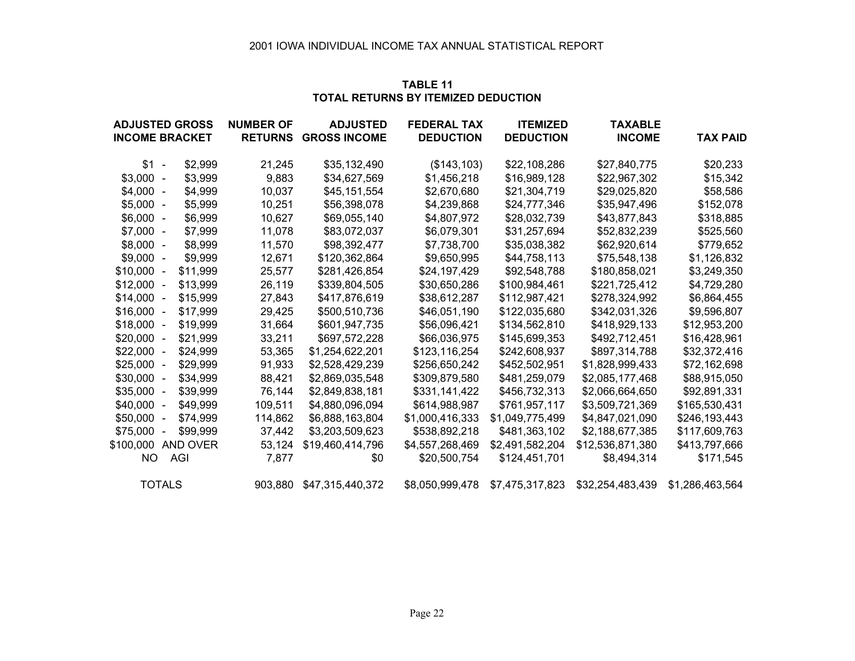| TABLE 11                                   |
|--------------------------------------------|
| <b>TOTAL RETURNS BY ITEMIZED DEDUCTION</b> |

| <b>ADJUSTED GROSS</b>   | <b>NUMBER OF</b> | <b>ADJUSTED</b>             | <b>FEDERAL TAX</b> |                  | TAXABLE          |                 |  |
|-------------------------|------------------|-----------------------------|--------------------|------------------|------------------|-----------------|--|
| <b>INCOME BRACKET</b>   |                  | <b>RETURNS GROSS INCOME</b> | <b>DEDUCTION</b>   | <b>DEDUCTION</b> | <b>INCOME</b>    | <b>TAX PAID</b> |  |
| $$1 -$<br>\$2,999       | 21,245           | \$35,132,490                | (\$143, 103)       | \$22,108,286     | \$27,840,775     | \$20,233        |  |
| $$3,000 -$<br>\$3,999   | 9,883            | \$34,627,569                | \$1,456,218        | \$16,989,128     | \$22,967,302     | \$15,342        |  |
| $$4,000 -$<br>\$4,999   | 10,037           | \$45,151,554                | \$2,670,680        | \$21,304,719     | \$29,025,820     | \$58,586        |  |
| $$5,000 -$<br>\$5,999   | 10,251           | \$56,398,078                | \$4,239,868        | \$24,777,346     | \$35,947,496     | \$152,078       |  |
| $$6,000 -$<br>\$6,999   | 10,627           | \$69,055,140                | \$4,807,972        | \$28,032,739     | \$43,877,843     | \$318,885       |  |
| $$7,000 -$<br>\$7,999   | 11,078           | \$83,072,037                | \$6,079,301        | \$31,257,694     | \$52,832,239     | \$525,560       |  |
| $$8,000 -$<br>\$8,999   | 11,570           | \$98,392,477                | \$7,738,700        | \$35,038,382     | \$62,920,614     | \$779,652       |  |
| $$9,000 -$<br>\$9,999   | 12,671           | \$120,362,864               | \$9,650,995        | \$44,758,113     | \$75,548,138     | \$1,126,832     |  |
| $$10,000 -$<br>\$11,999 | 25,577           | \$281,426,854               | \$24,197,429       | \$92,548,788     | \$180,858,021    | \$3,249,350     |  |
| $$12,000 -$<br>\$13,999 | 26,119           | \$339,804,505               | \$30,650,286       | \$100,984,461    | \$221,725,412    | \$4,729,280     |  |
| $$14,000 -$<br>\$15,999 | 27,843           | \$417,876,619               | \$38,612,287       | \$112,987,421    | \$278,324,992    | \$6,864,455     |  |
| $$16,000 -$<br>\$17,999 | 29,425           | \$500,510,736               | \$46,051,190       | \$122,035,680    | \$342,031,326    | \$9,596,807     |  |
| \$19,999<br>$$18,000 -$ | 31,664           | \$601,947,735               | \$56,096,421       | \$134,562,810    | \$418,929,133    | \$12,953,200    |  |
| \$21,999<br>$$20,000 -$ | 33,211           | \$697,572,228               | \$66,036,975       | \$145,699,353    | \$492,712,451    | \$16,428,961    |  |
| $$22,000 -$<br>\$24,999 | 53,365           | \$1,254,622,201             | \$123,116,254      | \$242,608,937    | \$897,314,788    | \$32,372,416    |  |
| $$25,000 -$<br>\$29,999 | 91,933           | \$2,528,429,239             | \$256,650,242      | \$452,502,951    | \$1,828,999,433  | \$72,162,698    |  |
| $$30,000 -$<br>\$34,999 | 88,421           | \$2,869,035,548             | \$309,879,580      | \$481,259,079    | \$2,085,177,468  | \$88,915,050    |  |
| \$39,999<br>$$35,000 -$ | 76,144           | \$2,849,838,181             | \$331,141,422      | \$456,732,313    | \$2,066,664,650  | \$92,891,331    |  |
| \$49,999<br>$$40,000 -$ | 109,511          | \$4,880,096,094             | \$614,988,987      | \$761,957,117    | \$3,509,721,369  | \$165,530,431   |  |
| $$50,000 -$<br>\$74.999 | 114.862          | \$6,888,163,804             | \$1,000,416,333    | \$1,049,775,499  | \$4,847,021,090  | \$246,193,443   |  |
| $$75,000 -$<br>\$99,999 | 37,442           | \$3,203,509,623             | \$538,892,218      | \$481,363,102    | \$2,188,677,385  | \$117,609,763   |  |
| \$100,000<br>AND OVER   | 53,124           | \$19,460,414,796            | \$4,557,268,469    | \$2,491,582,204  | \$12,536,871,380 | \$413,797,666   |  |
| AGI<br>NO.              | 7,877            | \$0                         | \$20,500,754       | \$124,451,701    | \$8,494,314      | \$171,545       |  |
| <b>TOTALS</b>           |                  | 903,880 \$47,315,440,372    | \$8,050,999,478    | \$7,475,317,823  | \$32,254,483,439 | \$1,286,463,564 |  |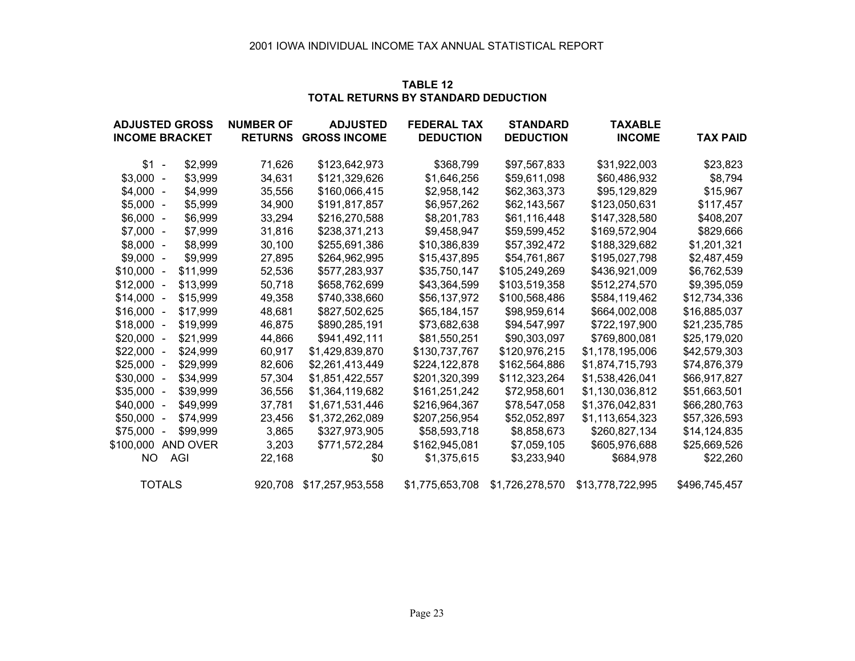| TABLE 12                                   |
|--------------------------------------------|
| <b>TOTAL RETURNS BY STANDARD DEDUCTION</b> |

| <b>ADJUSTED GROSS</b>   | <b>NUMBER OF</b> | <b>ADJUSTED</b>             | <b>FEDERAL TAX</b> | <b>STANDARD</b>  | <b>TAXABLE</b>   |                 |
|-------------------------|------------------|-----------------------------|--------------------|------------------|------------------|-----------------|
| <b>INCOME BRACKET</b>   |                  | <b>RETURNS GROSS INCOME</b> | <b>DEDUCTION</b>   | <b>DEDUCTION</b> | <b>INCOME</b>    | <b>TAX PAID</b> |
| $$1 -$<br>\$2,999       | 71,626           | \$123,642,973               | \$368,799          | \$97,567,833     | \$31,922,003     | \$23,823        |
| $$3,000 -$<br>\$3,999   | 34,631           | \$121,329,626               | \$1,646,256        | \$59,611,098     | \$60,486,932     | \$8,794         |
| $$4,000 -$<br>\$4,999   | 35,556           | \$160,066,415               | \$2,958,142        | \$62,363,373     | \$95,129,829     | \$15,967        |
| $$5,000 -$<br>\$5,999   | 34,900           | \$191,817,857               | \$6,957,262        | \$62,143,567     | \$123,050,631    | \$117,457       |
| $$6,000 -$<br>\$6,999   | 33,294           | \$216,270,588               | \$8,201,783        | \$61,116,448     | \$147,328,580    | \$408,207       |
| $$7,000 -$<br>\$7,999   | 31,816           | \$238,371,213               | \$9,458,947        | \$59,599,452     | \$169,572,904    | \$829,666       |
| \$8,999<br>$$8,000 -$   | 30,100           | \$255,691,386               | \$10,386,839       | \$57,392,472     | \$188,329,682    | \$1,201,321     |
| $$9,000 -$<br>\$9,999   | 27,895           | \$264,962,995               | \$15,437,895       | \$54,761,867     | \$195,027,798    | \$2,487,459     |
| $$10,000 -$<br>\$11,999 | 52,536           | \$577,283,937               | \$35,750,147       | \$105,249,269    | \$436,921,009    | \$6,762,539     |
| $$12,000 -$<br>\$13,999 | 50,718           | \$658,762,699               | \$43,364,599       | \$103,519,358    | \$512,274,570    | \$9,395,059     |
| \$15,999<br>$$14,000 -$ | 49,358           | \$740,338,660               | \$56,137,972       | \$100,568,486    | \$584,119,462    | \$12,734,336    |
| $$16,000 -$<br>\$17,999 | 48,681           | \$827,502,625               | \$65,184,157       | \$98,959,614     | \$664,002,008    | \$16,885,037    |
| $$18,000 -$<br>\$19,999 | 46,875           | \$890,285,191               | \$73,682,638       | \$94,547,997     | \$722,197,900    | \$21,235,785    |
| $$20,000 -$<br>\$21,999 | 44,866           | \$941,492,111               | \$81,550,251       | \$90,303,097     | \$769,800,081    | \$25,179,020    |
| $$22,000 -$<br>\$24,999 | 60,917           | \$1,429,839,870             | \$130,737,767      | \$120,976,215    | \$1,178,195,006  | \$42,579,303    |
| $$25,000 -$<br>\$29,999 | 82,606           | \$2,261,413,449             | \$224,122,878      | \$162,564,886    | \$1,874,715,793  | \$74,876,379    |
| $$30,000 -$<br>\$34,999 | 57,304           | \$1,851,422,557             | \$201,320,399      | \$112,323,264    | \$1,538,426,041  | \$66,917,827    |
| \$39,999<br>$$35,000 -$ | 36,556           | \$1,364,119,682             | \$161,251,242      | \$72,958,601     | \$1,130,036,812  | \$51,663,501    |
| $$40,000 -$<br>\$49,999 | 37,781           | \$1,671,531,446             | \$216,964,367      | \$78,547,058     | \$1,376,042,831  | \$66,280,763    |
| $$50,000 -$<br>\$74,999 | 23,456           | \$1,372,262,089             | \$207,256,954      | \$52,052,897     | \$1,113,654,323  | \$57,326,593    |
| $$75,000 -$<br>\$99,999 | 3,865            | \$327,973,905               | \$58,593,718       | \$8,858,673      | \$260,827,134    | \$14,124,835    |
| \$100,000<br>AND OVER   | 3,203            | \$771.572.284               | \$162,945,081      | \$7,059,105      | \$605,976,688    | \$25,669,526    |
| AGI<br>NO.              | 22,168           | \$0                         | \$1,375,615        | \$3,233,940      | \$684,978        | \$22,260        |
| <b>TOTALS</b>           |                  | 920,708 \$17,257,953,558    | \$1,775,653,708    | \$1,726,278,570  | \$13,778,722,995 | \$496,745,457   |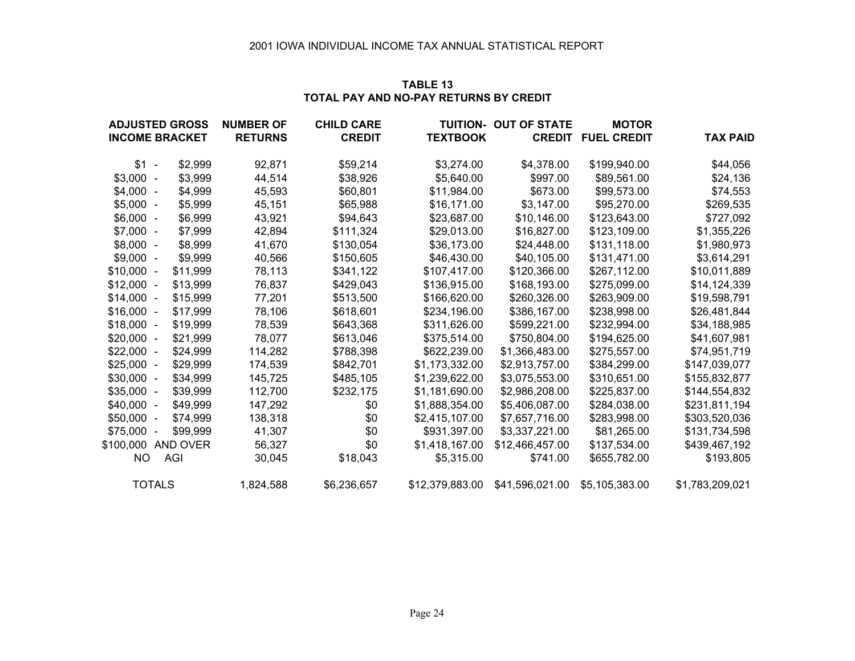| TABLE 13                               |
|----------------------------------------|
| TOTAL PAY AND NO-PAY RETURNS BY CREDIT |

| <b>ADJUSTED GROSS</b> |                          |          | <b>NUMBER OF</b> | <b>CHILD CARE</b> |                 | <b>TUITION- OUT OF STATE</b> | <b>MOTOR</b>              |                 |
|-----------------------|--------------------------|----------|------------------|-------------------|-----------------|------------------------------|---------------------------|-----------------|
| <b>INCOME BRACKET</b> |                          |          | <b>RETURNS</b>   | <b>CREDIT</b>     | <b>TEXTBOOK</b> |                              | <b>CREDIT FUEL CREDIT</b> | <b>TAX PAID</b> |
| $$1 -$                |                          | \$2,999  | 92,871           | \$59,214          | \$3,274.00      | \$4,378.00                   | \$199,940.00              | \$44,056        |
| $$3,000 -$            |                          | \$3,999  | 44,514           | \$38,926          | \$5,640.00      | \$997.00                     | \$89,561.00               | \$24,136        |
| $$4,000 -$            |                          | \$4,999  | 45,593           | \$60,801          | \$11,984.00     | \$673.00                     | \$99,573.00               | \$74,553        |
| $$5,000 -$            |                          | \$5,999  | 45,151           | \$65,988          | \$16,171.00     | \$3,147.00                   | \$95,270.00               | \$269,535       |
| $$6,000 -$            |                          | \$6,999  | 43,921           | \$94,643          | \$23,687.00     | \$10,146.00                  | \$123,643.00              | \$727,092       |
| $$7,000 -$            |                          | \$7,999  | 42,894           | \$111,324         | \$29,013.00     | \$16,827.00                  | \$123,109.00              | \$1,355,226     |
| $$8,000 -$            |                          | \$8,999  | 41,670           | \$130,054         | \$36,173.00     | \$24,448.00                  | \$131,118.00              | \$1,980,973     |
| $$9,000 -$            |                          | \$9,999  | 40,566           | \$150,605         | \$46,430.00     | \$40,105.00                  | \$131,471.00              | \$3,614,291     |
| $$10,000 -$           |                          | \$11,999 | 78,113           | \$341,122         | \$107,417.00    | \$120,366.00                 | \$267,112.00              | \$10,011,889    |
| $$12,000 -$           |                          | \$13,999 | 76,837           | \$429,043         | \$136,915.00    | \$168,193.00                 | \$275,099.00              | \$14,124,339    |
| $$14,000 -$           |                          | \$15,999 | 77,201           | \$513,500         | \$166,620.00    | \$260,326.00                 | \$263,909.00              | \$19,598,791    |
| $$16,000 -$           |                          | \$17,999 | 78,106           | \$618,601         | \$234,196.00    | \$386,167.00                 | \$238,998.00              | \$26,481,844    |
| $$18,000 -$           |                          | \$19,999 | 78,539           | \$643,368         | \$311,626.00    | \$599,221.00                 | \$232,994.00              | \$34,188,985    |
| $$20,000 -$           |                          | \$21,999 | 78,077           | \$613,046         | \$375,514.00    | \$750,804.00                 | \$194,625.00              | \$41,607,981    |
| $$22,000 -$           |                          | \$24,999 | 114,282          | \$788,398         | \$622,239.00    | \$1,366,483.00               | \$275,557.00              | \$74,951,719    |
| $$25,000 -$           |                          | \$29,999 | 174,539          | \$842,701         | \$1,173,332.00  | \$2,913,757.00               | \$384,299.00              | \$147,039,077   |
| $$30,000 -$           |                          | \$34,999 | 145,725          | \$485,105         | \$1,239,622.00  | \$3,075,553.00               | \$310,651.00              | \$155,832,877   |
| $$35,000 -$           |                          | \$39,999 | 112,700          | \$232,175         | \$1,181,690.00  | \$2,986,208.00               | \$225,837.00              | \$144,554,832   |
| $$40,000 -$           |                          | \$49,999 | 147,292          | \$0               | \$1,888,354.00  | \$5,406,087.00               | \$284,038.00              | \$231,811,194   |
| $$50,000 -$           |                          | \$74,999 | 138,318          | \$0               | \$2,415,107.00  | \$7,657,716.00               | \$283,998.00              | \$303,520,036   |
| \$75,000              | $\overline{\phantom{a}}$ | \$99,999 | 41,307           | \$0               | \$931,397.00    | \$3,337,221.00               | \$81,265.00               | \$131,734,598   |
| \$100,000             |                          | AND OVER | 56,327           | \$0               | \$1,418,167.00  | \$12,466,457.00              | \$137,534.00              | \$439,467,192   |
| ΝO                    | AGI                      |          | 30,045           | \$18,043          | \$5,315.00      | \$741.00                     | \$655,782.00              | \$193,805       |
|                       | <b>TOTALS</b>            |          | 1,824,588        | \$6,236,657       | \$12,379,883.00 | \$41,596,021.00              | \$5,105,383.00            | \$1,783,209,021 |